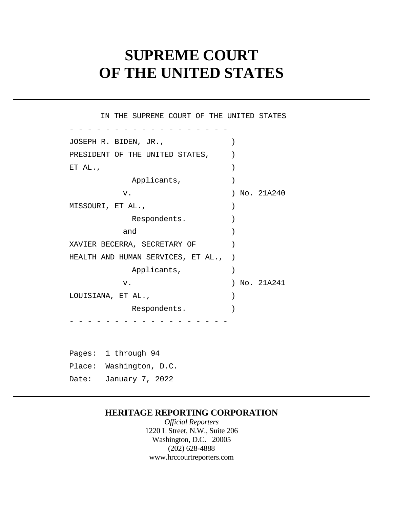# **SUPREME COURT OF THE UNITED STATES**

 $\left( \right)$  $\left( \begin{array}{c} \end{array} \right)$  $\lambda$  HEALTH AND HUMAN SERVICES, ET AL., ) Pages: 1 through 94 - - - - - - - - - - - - - - - - - - - - - - - - - - - - - - - - - - - - IN THE SUPREME COURT OF THE UNITED STATES JOSEPH R. BIDEN, JR., ) PRESIDENT OF THE UNITED STATES, ET AL.,  $\qquad \qquad$ Applicants,  $)$ v. ) No. 21A240 MISSOURI, ET AL., Respondents. and ) XAVIER BECERRA, SECRETARY OF ) Applicants, v. ) No. 21A241 LOUISIANA, ET AL., ) Respondents. Place: Washington, D.C.

Date: January 7, 2022

## **HERITAGE REPORTING CORPORATION**

*Official Reporters*  1220 L Street, N.W., Suite 206 Washington, D.C. 20005 (202) 628-4888 <www.hrccourtreporters.com>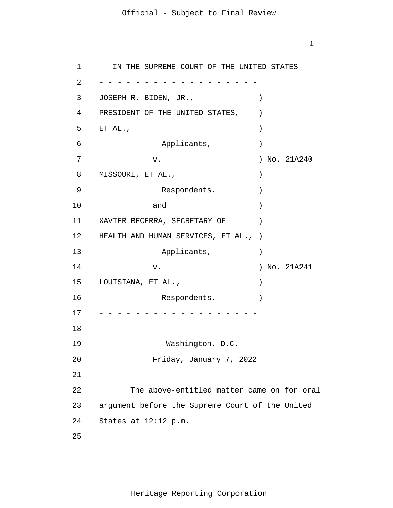1

1 2 3 4 5 6 7 8 9 10 11 12 13 14 15 16 17 18 19 20 21 22 23 24 25 - - - - - - - - - - - - - - - - - - - - - - - - - - - - - - - - - - - - IN THE SUPREME COURT OF THE UNITED STATES JOSEPH R. BIDEN, JR., (1988) PRESIDENT OF THE UNITED STATES,  $ETAL.$ , Applicants,  $)$  v. ) No. 21A240 MISSOURI, ET AL.,  $\qquad \qquad$ Respondents. and ) XAVIER BECERRA, SECRETARY OF  $)$ HEALTH AND HUMAN SERVICES, ET AL., ) Applicants, v. ) No. 21A241 LOUISIANA, ET AL.,  $\qquad \qquad \qquad$ Respondents. Washington, D.C. Friday, January 7, 2022 The above-entitled matter came on for oral argument before the Supreme Court of the United States at 12:12 p.m.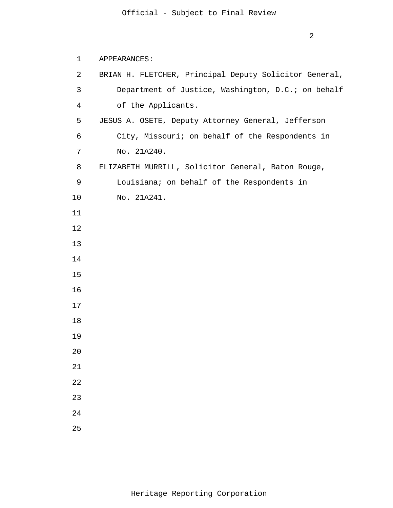## APPEARANCES:

| $\overline{2}$ | BRIAN H. FLETCHER, Principal Deputy Solicitor General, |
|----------------|--------------------------------------------------------|
| $\mathsf{3}$   | Department of Justice, Washington, D.C.; on behalf     |
| 4              | of the Applicants.                                     |
| 5              | JESUS A. OSETE, Deputy Attorney General, Jefferson     |
| 6              | City, Missouri; on behalf of the Respondents in        |
| 7              | No. 21A240.                                            |
| 8              | ELIZABETH MURRILL, Solicitor General, Baton Rouge,     |
| 9              | Louisiana; on behalf of the Respondents in             |
| 10             | No. 21A241.                                            |
| 11             |                                                        |
| 12             |                                                        |
| 13             |                                                        |
| 14             |                                                        |
| 15             |                                                        |
| 16             |                                                        |
| 17             |                                                        |
| 18             |                                                        |
| 19             |                                                        |
| 20             |                                                        |
| 21             |                                                        |
| 22             |                                                        |
| 23             |                                                        |
| 24             |                                                        |
| 25             |                                                        |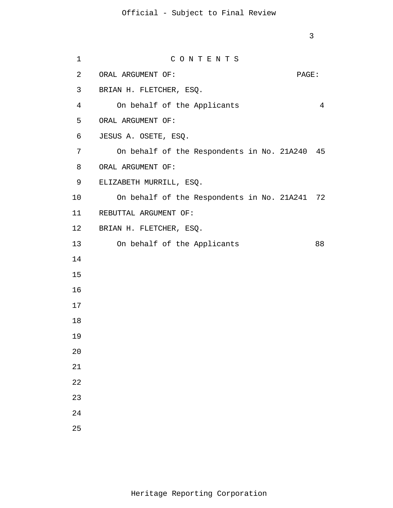| 1              | CONTENTS                                      |       |
|----------------|-----------------------------------------------|-------|
| $\overline{2}$ | ORAL ARGUMENT OF:                             | PAGE: |
| 3              | BRIAN H. FLETCHER, ESQ.                       |       |
| $\overline{4}$ | On behalf of the Applicants                   | 4     |
| 5              | ORAL ARGUMENT OF:                             |       |
| 6              | JESUS A. OSETE, ESQ.                          |       |
| 7              | On behalf of the Respondents in No. 21A240 45 |       |
| 8              | ORAL ARGUMENT OF:                             |       |
| 9              | ELIZABETH MURRILL, ESQ.                       |       |
| 10             | On behalf of the Respondents in No. 21A241 72 |       |
| 11             | REBUTTAL ARGUMENT OF:                         |       |
| 12             | BRIAN H. FLETCHER, ESQ.                       |       |
| 13             | On behalf of the Applicants                   | 88    |
| 14             |                                               |       |
| 15             |                                               |       |
| 16             |                                               |       |
| 17             |                                               |       |
| 18             |                                               |       |
| 19             |                                               |       |
| 20             |                                               |       |
| 21             |                                               |       |
| 22             |                                               |       |
| 23             |                                               |       |
| 24             |                                               |       |
| 25             |                                               |       |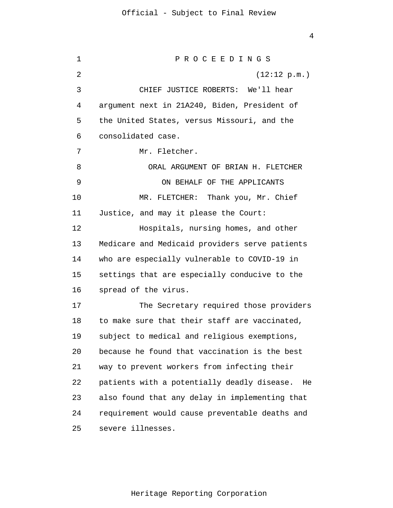1 2 3 4 5 6 7 8 9 10 11 12 13 14 15 16 17 18 19 20 21 22 23 24 25 P R O C E E D I N G S (12:12 p.m.) CHIEF JUSTICE ROBERTS: We'll hear argument next in 21A240, Biden, President of the United States, versus Missouri, and the consolidated case. Mr. Fletcher. ORAL ARGUMENT OF BRIAN H. FLETCHER ON BEHALF OF THE APPLICANTS MR. FLETCHER: Thank you, Mr. Chief Justice, and may it please the Court: Hospitals, nursing homes, and other Medicare and Medicaid providers serve patients who are especially vulnerable to COVID-19 in settings that are especially conducive to the spread of the virus. The Secretary required those providers to make sure that their staff are vaccinated, subject to medical and religious exemptions, because he found that vaccination is the best way to prevent workers from infecting their patients with a potentially deadly disease. He also found that any delay in implementing that requirement would cause preventable deaths and severe illnesses.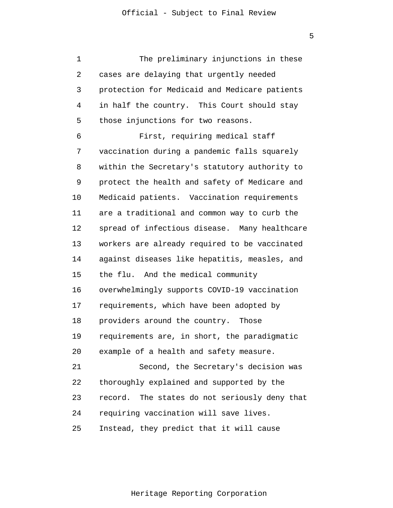1 2 3 4 5 6 7 8 9 10 11 12 13 14 15 16 17 18 19 20 21 22 23 24 25 The preliminary injunctions in these cases are delaying that urgently needed protection for Medicaid and Medicare patients in half the country. This Court should stay those injunctions for two reasons. First, requiring medical staff vaccination during a pandemic falls squarely within the Secretary's statutory authority to protect the health and safety of Medicare and Medicaid patients. Vaccination requirements are a traditional and common way to curb the spread of infectious disease. Many healthcare workers are already required to be vaccinated against diseases like hepatitis, measles, and the flu. And the medical community overwhelmingly supports COVID-19 vaccination requirements, which have been adopted by providers around the country. Those requirements are, in short, the paradigmatic example of a health and safety measure. Second, the Secretary's decision was thoroughly explained and supported by the record. The states do not seriously deny that requiring vaccination will save lives. Instead, they predict that it will cause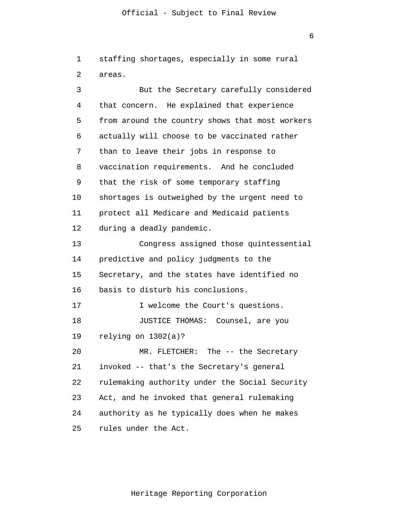1 2 staffing shortages, especially in some rural areas.

3 4 5 6 7 8 9 10 11 12 13 14 15 16 17 18 19 20 21 22 23 24 25 But the Secretary carefully considered that concern. He explained that experience from around the country shows that most workers actually will choose to be vaccinated rather than to leave their jobs in response to vaccination requirements. And he concluded that the risk of some temporary staffing shortages is outweighed by the urgent need to protect all Medicare and Medicaid patients during a deadly pandemic. Congress assigned those quintessential predictive and policy judgments to the Secretary, and the states have identified no basis to disturb his conclusions. I welcome the Court's questions. JUSTICE THOMAS: Counsel, are you relying on 1302(a)? MR. FLETCHER: The -- the Secretary invoked -- that's the Secretary's general rulemaking authority under the Social Security Act, and he invoked that general rulemaking authority as he typically does when he makes rules under the Act.

Heritage Reporting Corporation

6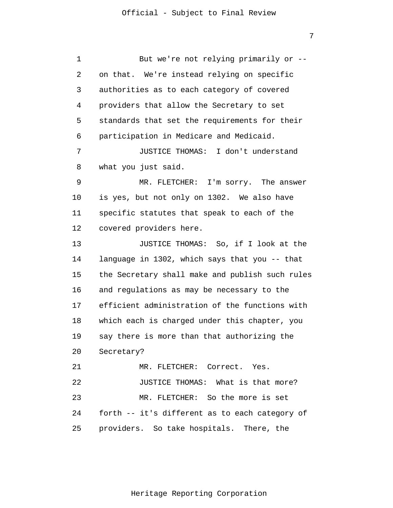1 2 3 4 5 6 7 8 9 10 11 12 13 14 15 16 17 18 19 20 21 22 23 24 25 But we're not relying primarily or - on that. We're instead relying on specific authorities as to each category of covered providers that allow the Secretary to set standards that set the requirements for their participation in Medicare and Medicaid. JUSTICE THOMAS: I don't understand what you just said. MR. FLETCHER: I'm sorry. The answer is yes, but not only on 1302. We also have specific statutes that speak to each of the covered providers here. JUSTICE THOMAS: So, if I look at the language in 1302, which says that you -- that the Secretary shall make and publish such rules and regulations as may be necessary to the efficient administration of the functions with which each is charged under this chapter, you say there is more than that authorizing the Secretary? MR. FLETCHER: Correct. Yes. JUSTICE THOMAS: What is that more? MR. FLETCHER: So the more is set forth -- it's different as to each category of providers. So take hospitals. There, the

Heritage Reporting Corporation

7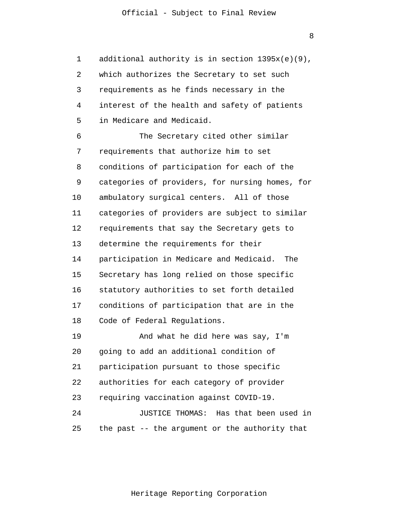1 2 3 4 5 additional authority is in section 1395x(e)(9), which authorizes the Secretary to set such requirements as he finds necessary in the interest of the health and safety of patients in Medicare and Medicaid.

6 7 8 9 10 11 12 13 14 15 16 17 18 The Secretary cited other similar requirements that authorize him to set conditions of participation for each of the categories of providers, for nursing homes, for ambulatory surgical centers. All of those categories of providers are subject to similar requirements that say the Secretary gets to determine the requirements for their participation in Medicare and Medicaid. The Secretary has long relied on those specific statutory authorities to set forth detailed conditions of participation that are in the Code of Federal Regulations.

19 20 21 22 23 24 And what he did here was say, I'm going to add an additional condition of participation pursuant to those specific authorities for each category of provider requiring vaccination against COVID-19. JUSTICE THOMAS: Has that been used in

25 the past -- the argument or the authority that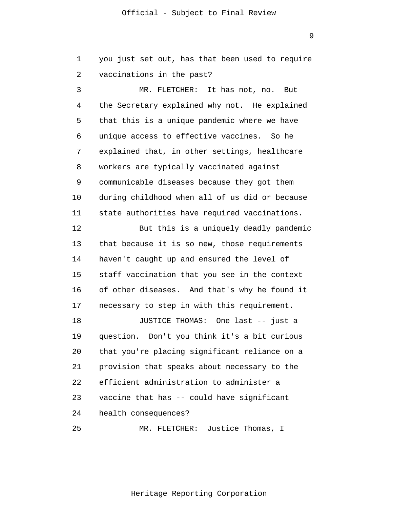you just set out, has that been used to require

9

2 3 4 5 6 7 8 vaccinations in the past? MR. FLETCHER: It has not, no. But the Secretary explained why not. He explained that this is a unique pandemic where we have unique access to effective vaccines. So he explained that, in other settings, healthcare workers are typically vaccinated against

1

9 10 11 communicable diseases because they got them during childhood when all of us did or because state authorities have required vaccinations.

12 13 14 15 16 17 But this is a uniquely deadly pandemic that because it is so new, those requirements haven't caught up and ensured the level of staff vaccination that you see in the context of other diseases. And that's why he found it necessary to step in with this requirement.

18 19 20 21 22 23 24 JUSTICE THOMAS: One last -- just a question. Don't you think it's a bit curious that you're placing significant reliance on a provision that speaks about necessary to the efficient administration to administer a vaccine that has -- could have significant health consequences?

25 MR. FLETCHER: Justice Thomas, I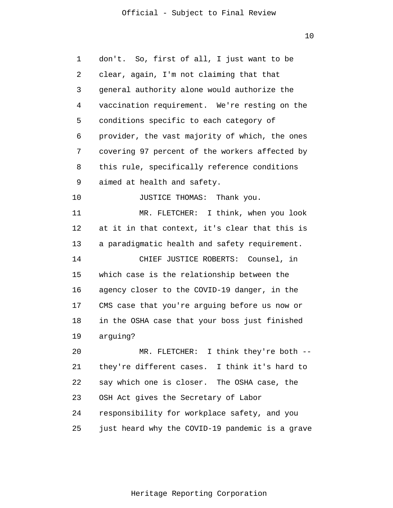10

| 1  | don't. So, first of all, I just want to be      |
|----|-------------------------------------------------|
| 2  | clear, again, I'm not claiming that that        |
| 3  | general authority alone would authorize the     |
| 4  | vaccination requirement. We're resting on the   |
| 5  | conditions specific to each category of         |
| 6  | provider, the vast majority of which, the ones  |
| 7  | covering 97 percent of the workers affected by  |
| 8  | this rule, specifically reference conditions    |
| 9  | aimed at health and safety.                     |
| 10 | JUSTICE THOMAS: Thank you.                      |
| 11 | MR. FLETCHER: I think, when you look            |
| 12 | at it in that context, it's clear that this is  |
| 13 | a paradigmatic health and safety requirement.   |
| 14 | CHIEF JUSTICE ROBERTS: Counsel, in              |
| 15 | which case is the relationship between the      |
| 16 | agency closer to the COVID-19 danger, in the    |
| 17 | CMS case that you're arguing before us now or   |
| 18 | in the OSHA case that your boss just finished   |
| 19 | arguing?                                        |
| 20 | MR. FLETCHER: I think they're both --           |
| 21 | they're different cases. I think it's hard to   |
| 22 | say which one is closer. The OSHA case, the     |
| 23 | OSH Act gives the Secretary of Labor            |
| 24 | responsibility for workplace safety, and you    |
| 25 | just heard why the COVID-19 pandemic is a grave |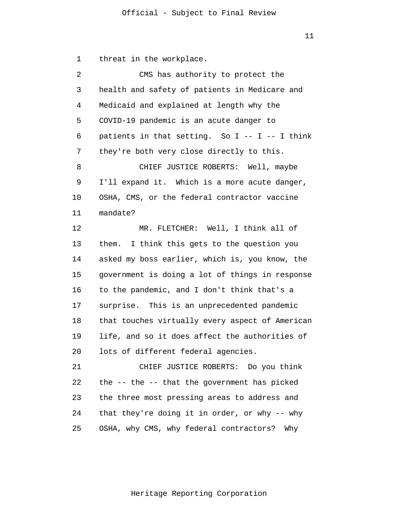1 threat in the workplace.

| 2  | CMS has authority to protect the                 |
|----|--------------------------------------------------|
| 3  | health and safety of patients in Medicare and    |
| 4  | Medicaid and explained at length why the         |
| 5  | COVID-19 pandemic is an acute danger to          |
| 6  | patients in that setting. So $I - - I - I$ think |
| 7  | they're both very close directly to this.        |
| 8  | CHIEF JUSTICE ROBERTS: Well, maybe               |
| 9  | I'll expand it. Which is a more acute danger,    |
| 10 | OSHA, CMS, or the federal contractor vaccine     |
| 11 | mandate?                                         |
| 12 | MR. FLETCHER: Well, I think all of               |
| 13 | I think this gets to the question you<br>them.   |
| 14 | asked my boss earlier, which is, you know, the   |
| 15 | government is doing a lot of things in response  |
| 16 | to the pandemic, and I don't think that's a      |
| 17 | surprise. This is an unprecedented pandemic      |
| 18 | that touches virtually every aspect of American  |
| 19 | life, and so it does affect the authorities of   |
| 20 | lots of different federal agencies.              |
| 21 | CHIEF JUSTICE ROBERTS: Do you think              |
| 22 | the -- the -- that the government has picked     |
| 23 | the three most pressing areas to address and     |
| 24 | that they're doing it in order, or why -- why    |
| 25 | OSHA, why CMS, why federal contractors?<br>Why   |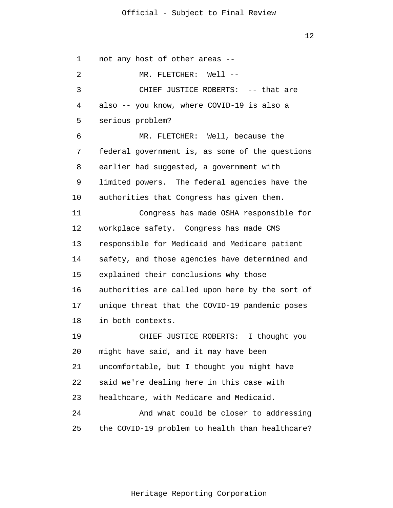12

1 2 3 4 5 6 7 8 9 10 11 12 13 14 15 16 17 18 19 20 21 22 23 24 25 not any host of other areas -- MR. FLETCHER: Well --CHIEF JUSTICE ROBERTS: -- that are also -- you know, where COVID-19 is also a serious problem? MR. FLETCHER: Well, because the federal government is, as some of the questions earlier had suggested, a government with limited powers. The federal agencies have the authorities that Congress has given them. Congress has made OSHA responsible for workplace safety. Congress has made CMS responsible for Medicaid and Medicare patient safety, and those agencies have determined and explained their conclusions why those authorities are called upon here by the sort of unique threat that the COVID-19 pandemic poses in both contexts. CHIEF JUSTICE ROBERTS: I thought you might have said, and it may have been uncomfortable, but I thought you might have said we're dealing here in this case with healthcare, with Medicare and Medicaid. And what could be closer to addressing the COVID-19 problem to health than healthcare?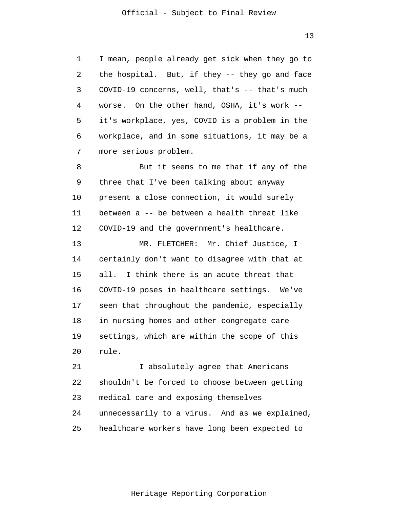1 2 3 4 5 6 7 I mean, people already get sick when they go to the hospital. But, if they -- they go and face COVID-19 concerns, well, that's -- that's much worse. On the other hand, OSHA, it's work - it's workplace, yes, COVID is a problem in the workplace, and in some situations, it may be a more serious problem.

8 9 10 11 12 But it seems to me that if any of the three that I've been talking about anyway present a close connection, it would surely between a -- be between a health threat like COVID-19 and the government's healthcare.

13 14 15 16 17 18 19 20 MR. FLETCHER: Mr. Chief Justice, I certainly don't want to disagree with that at all. I think there is an acute threat that COVID-19 poses in healthcare settings. We've seen that throughout the pandemic, especially in nursing homes and other congregate care settings, which are within the scope of this rule.

21 22 23 24 25 I absolutely agree that Americans shouldn't be forced to choose between getting medical care and exposing themselves unnecessarily to a virus. And as we explained, healthcare workers have long been expected to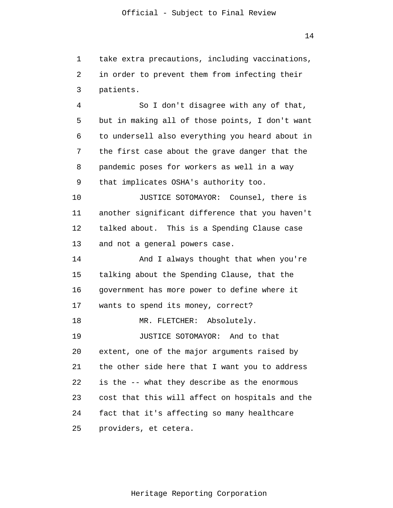1 2 3 take extra precautions, including vaccinations, in order to prevent them from infecting their patients.

4 5 6 7 8 9 So I don't disagree with any of that, but in making all of those points, I don't want to undersell also everything you heard about in the first case about the grave danger that the pandemic poses for workers as well in a way that implicates OSHA's authority too.

10 11 12 13 JUSTICE SOTOMAYOR: Counsel, there is another significant difference that you haven't talked about. This is a Spending Clause case and not a general powers case.

14 15 16 17 18 19 20 21 22 23 24 25 And I always thought that when you're talking about the Spending Clause, that the government has more power to define where it wants to spend its money, correct? MR. FLETCHER: Absolutely. JUSTICE SOTOMAYOR: And to that extent, one of the major arguments raised by the other side here that I want you to address is the -- what they describe as the enormous cost that this will affect on hospitals and the fact that it's affecting so many healthcare providers, et cetera.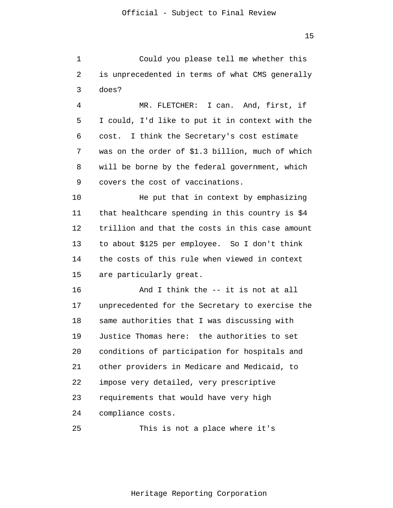1 2 3 Could you please tell me whether this is unprecedented in terms of what CMS generally does?

4 5 6 7 8 9 MR. FLETCHER: I can. And, first, if I could, I'd like to put it in context with the cost. I think the Secretary's cost estimate was on the order of \$1.3 billion, much of which will be borne by the federal government, which covers the cost of vaccinations.

10 11 12 13 14 15 He put that in context by emphasizing that healthcare spending in this country is \$4 trillion and that the costs in this case amount to about \$125 per employee. So I don't think the costs of this rule when viewed in context are particularly great.

16 17 18 19 20 21 22 23 24 And I think the -- it is not at all unprecedented for the Secretary to exercise the same authorities that I was discussing with Justice Thomas here: the authorities to set conditions of participation for hospitals and other providers in Medicare and Medicaid, to impose very detailed, very prescriptive requirements that would have very high compliance costs.

25 This is not a place where it's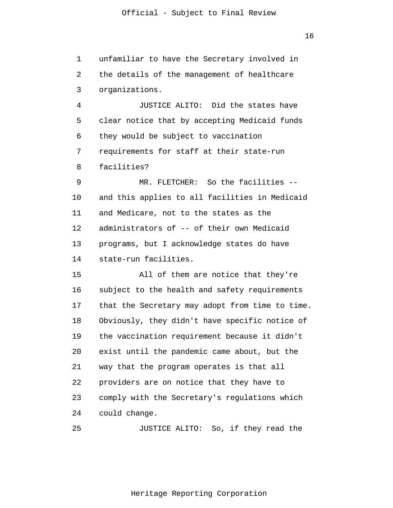1 2 3 unfamiliar to have the Secretary involved in the details of the management of healthcare organizations.

4 5 6 7 8 JUSTICE ALITO: Did the states have clear notice that by accepting Medicaid funds they would be subject to vaccination requirements for staff at their state-run facilities?

9 10 11 12 13 14 MR. FLETCHER: So the facilities - and this applies to all facilities in Medicaid and Medicare, not to the states as the administrators of -- of their own Medicaid programs, but I acknowledge states do have state-run facilities.

15 16 17 18 19 20 21 22 23 24 All of them are notice that they're subject to the health and safety requirements that the Secretary may adopt from time to time. Obviously, they didn't have specific notice of the vaccination requirement because it didn't exist until the pandemic came about, but the way that the program operates is that all providers are on notice that they have to comply with the Secretary's regulations which could change.

25 JUSTICE ALITO: So, if they read the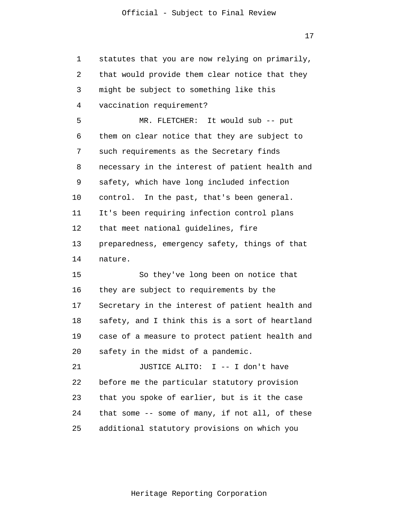1 2 3 4 5 6 7 8 9 10 11 12 13 14 15 16 17 18 19 20 21 22 23 24 25 statutes that you are now relying on primarily, that would provide them clear notice that they might be subject to something like this vaccination requirement? MR. FLETCHER: It would sub -- put them on clear notice that they are subject to such requirements as the Secretary finds necessary in the interest of patient health and safety, which have long included infection control. In the past, that's been general. It's been requiring infection control plans that meet national guidelines, fire preparedness, emergency safety, things of that nature. So they've long been on notice that they are subject to requirements by the Secretary in the interest of patient health and safety, and I think this is a sort of heartland case of a measure to protect patient health and safety in the midst of a pandemic. JUSTICE ALITO: I -- I don't have before me the particular statutory provision that you spoke of earlier, but is it the case that some -- some of many, if not all, of these additional statutory provisions on which you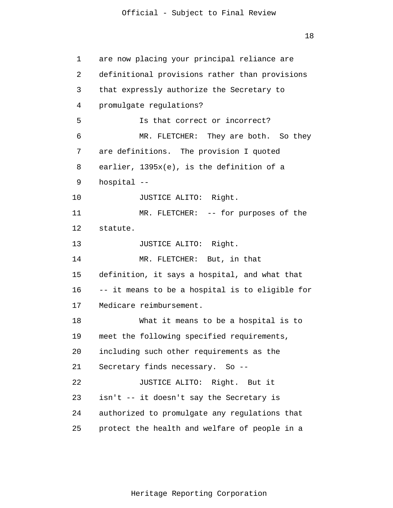18

1 2 3 4 5 6 7 8 9 10 11 12 13 14 15 16 17 18 19 20 21 22 23 24 25 are now placing your principal reliance are definitional provisions rather than provisions that expressly authorize the Secretary to promulgate regulations? Is that correct or incorrect? MR. FLETCHER: They are both. So they are definitions. The provision I quoted earlier, 1395x(e), is the definition of a hospital -- JUSTICE ALITO: Right. MR. FLETCHER: -- for purposes of the statute. JUSTICE ALITO: Right. MR. FLETCHER: But, in that definition, it says a hospital, and what that -- it means to be a hospital is to eligible for Medicare reimbursement. What it means to be a hospital is to meet the following specified requirements, including such other requirements as the Secretary finds necessary. So -- JUSTICE ALITO: Right. But it isn't -- it doesn't say the Secretary is authorized to promulgate any regulations that protect the health and welfare of people in a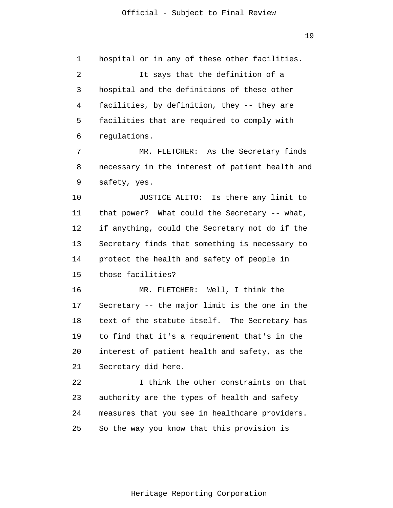1 2 3 4 5 6 hospital or in any of these other facilities. It says that the definition of a hospital and the definitions of these other facilities, by definition, they -- they are facilities that are required to comply with regulations.

7 8 9 MR. FLETCHER: As the Secretary finds necessary in the interest of patient health and safety, yes.

10 11 12 13 14 15 JUSTICE ALITO: Is there any limit to that power? What could the Secretary -- what, if anything, could the Secretary not do if the Secretary finds that something is necessary to protect the health and safety of people in those facilities?

16 17 18 19 20 21 MR. FLETCHER: Well, I think the Secretary -- the major limit is the one in the text of the statute itself. The Secretary has to find that it's a requirement that's in the interest of patient health and safety, as the Secretary did here.

22 23 24 25 I think the other constraints on that authority are the types of health and safety measures that you see in healthcare providers. So the way you know that this provision is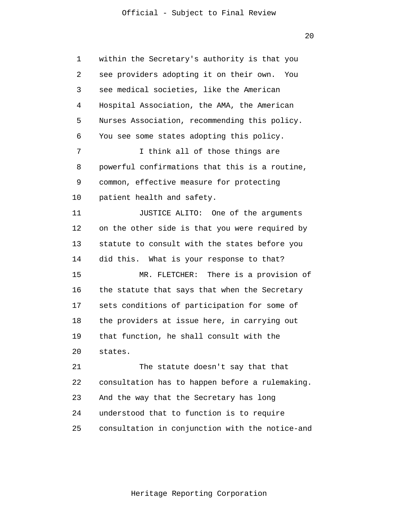20

1 2 3 4 5 6 7 8 9 10 11 12 13 14 15 16 17 18 19 20 21 22 23 24 25 within the Secretary's authority is that you see providers adopting it on their own. You see medical societies, like the American Hospital Association, the AMA, the American Nurses Association, recommending this policy. You see some states adopting this policy. I think all of those things are powerful confirmations that this is a routine, common, effective measure for protecting patient health and safety. JUSTICE ALITO: One of the arguments on the other side is that you were required by statute to consult with the states before you did this. What is your response to that? MR. FLETCHER: There is a provision of the statute that says that when the Secretary sets conditions of participation for some of the providers at issue here, in carrying out that function, he shall consult with the states. The statute doesn't say that that consultation has to happen before a rulemaking. And the way that the Secretary has long understood that to function is to require consultation in conjunction with the notice-and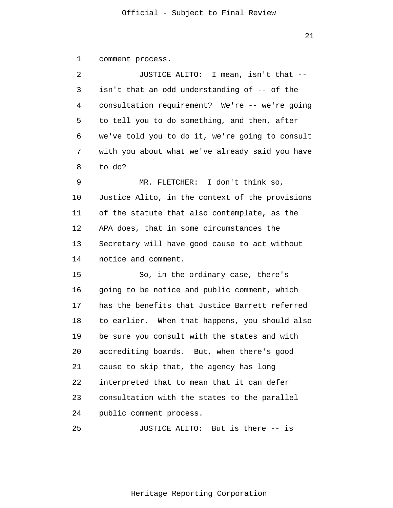1 comment process.

| 2  | JUSTICE ALITO: I mean, isn't that --            |
|----|-------------------------------------------------|
| 3  | isn't that an odd understanding of -- of the    |
| 4  | consultation requirement? We're -- we're going  |
| 5  | to tell you to do something, and then, after    |
| 6  | we've told you to do it, we're going to consult |
| 7  | with you about what we've already said you have |
| 8  | to do?                                          |
| 9  | MR. FLETCHER: I don't think so,                 |
| 10 | Justice Alito, in the context of the provisions |
| 11 | of the statute that also contemplate, as the    |
| 12 | APA does, that in some circumstances the        |
| 13 | Secretary will have good cause to act without   |
| 14 | notice and comment.                             |
| 15 | So, in the ordinary case, there's               |
| 16 | going to be notice and public comment, which    |
| 17 | has the benefits that Justice Barrett referred  |
| 18 | to earlier. When that happens, you should also  |
| 19 | be sure you consult with the states and with    |
| 20 | accrediting boards. But, when there's good      |
| 21 | cause to skip that, the agency has long         |
| 22 | interpreted that to mean that it can defer      |
| 23 | consultation with the states to the parallel    |
| 24 | public comment process.                         |

25 JUSTICE ALITO: But is there -- is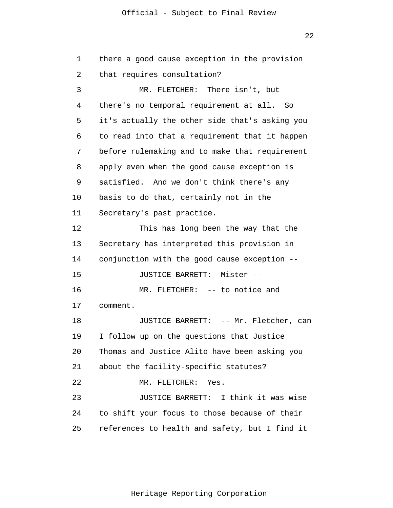22

| 1  | there a good cause exception in the provision  |
|----|------------------------------------------------|
| 2  | that requires consultation?                    |
| 3  | MR. FLETCHER: There isn't, but                 |
| 4  | there's no temporal requirement at all. So     |
| 5  | it's actually the other side that's asking you |
| 6  | to read into that a requirement that it happen |
| 7  | before rulemaking and to make that requirement |
| 8  | apply even when the good cause exception is    |
| 9  | satisfied. And we don't think there's any      |
| 10 | basis to do that, certainly not in the         |
| 11 | Secretary's past practice.                     |
| 12 | This has long been the way that the            |
| 13 | Secretary has interpreted this provision in    |
| 14 | conjunction with the good cause exception --   |
| 15 | JUSTICE BARRETT: Mister --                     |
| 16 | MR. FLETCHER: -- to notice and                 |
| 17 | comment.                                       |
| 18 | JUSTICE BARRETT: -- Mr. Fletcher, can          |
| 19 | I follow up on the questions that Justice      |
| 20 | Thomas and Justice Alito have been asking you  |
| 21 | about the facility-specific statutes?          |
| 22 | MR. FLETCHER: Yes.                             |
| 23 | JUSTICE BARRETT: I think it was wise           |
| 24 | to shift your focus to those because of their  |
| 25 | references to health and safety, but I find it |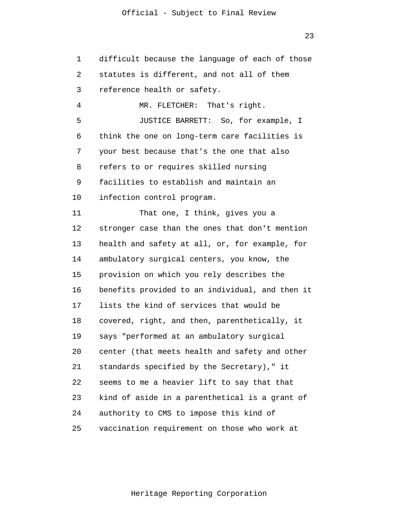1 2 3 4 5 6 7 8 9 10 11 12 13 14 15 16 17 18 19 20 21 22 23 24 25 difficult because the language of each of those statutes is different, and not all of them reference health or safety. MR. FLETCHER: That's right. JUSTICE BARRETT: So, for example, I think the one on long-term care facilities is your best because that's the one that also refers to or requires skilled nursing facilities to establish and maintain an infection control program. That one, I think, gives you a stronger case than the ones that don't mention health and safety at all, or, for example, for ambulatory surgical centers, you know, the provision on which you rely describes the benefits provided to an individual, and then it lists the kind of services that would be covered, right, and then, parenthetically, it says "performed at an ambulatory surgical center (that meets health and safety and other standards specified by the Secretary)," it seems to me a heavier lift to say that that kind of aside in a parenthetical is a grant of authority to CMS to impose this kind of vaccination requirement on those who work at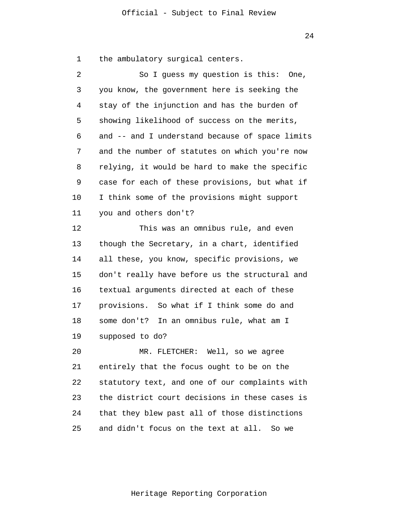1 the ambulatory surgical centers.

| 2  | So I guess my question is this: One,            |
|----|-------------------------------------------------|
| 3  | you know, the government here is seeking the    |
| 4  | stay of the injunction and has the burden of    |
| 5  | showing likelihood of success on the merits,    |
| 6  | and -- and I understand because of space limits |
| 7  | and the number of statutes on which you're now  |
| 8  | relying, it would be hard to make the specific  |
| 9  | case for each of these provisions, but what if  |
| 10 | I think some of the provisions might support    |
| 11 | you and others don't?                           |
| 12 | This was an omnibus rule, and even              |
| 13 | though the Secretary, in a chart, identified    |
| 14 | all these, you know, specific provisions, we    |
| 15 | don't really have before us the structural and  |
| 16 | textual arguments directed at each of these     |
| 17 | provisions. So what if I think some do and      |
| 18 | some don't? In an omnibus rule, what am I       |
| 19 | supposed to do?                                 |
| 20 | MR. FLETCHER: Well, so we agree                 |
| 21 | entirely that the focus ought to be on the      |
| 22 | statutory text, and one of our complaints with  |
|    |                                                 |

24 25 that they blew past all of those distinctions and didn't focus on the text at all. So we

the district court decisions in these cases is

23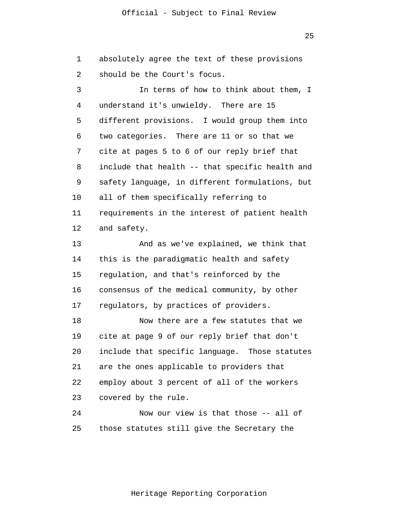25

1 2 3 4 5 6 7 8 9 10 11 12 13 absolutely agree the text of these provisions should be the Court's focus. In terms of how to think about them, I understand it's unwieldy. There are 15 different provisions. I would group them into two categories. There are 11 or so that we cite at pages 5 to 6 of our reply brief that include that health -- that specific health and safety language, in different formulations, but all of them specifically referring to requirements in the interest of patient health and safety. And as we've explained, we think that

14 15 16 17 this is the paradigmatic health and safety regulation, and that's reinforced by the consensus of the medical community, by other regulators, by practices of providers.

18 19 20 21 22 23 Now there are a few statutes that we cite at page 9 of our reply brief that don't include that specific language. Those statutes are the ones applicable to providers that employ about 3 percent of all of the workers covered by the rule.

24 25 Now our view is that those -- all of those statutes still give the Secretary the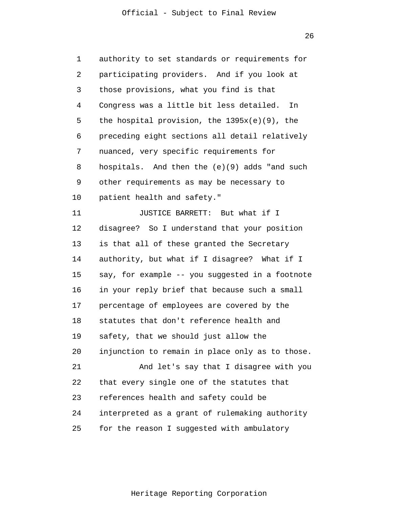26

| 1              | authority to set standards or requirements for  |
|----------------|-------------------------------------------------|
| $\overline{2}$ | participating providers. And if you look at     |
| 3              | those provisions, what you find is that         |
| 4              | Congress was a little bit less detailed.<br>In  |
| 5              | the hospital provision, the $1395x(e)(9)$ , the |
| 6              | preceding eight sections all detail relatively  |
| 7              | nuanced, very specific requirements for         |
| 8              | hospitals. And then the (e)(9) adds "and such   |
| 9              | other requirements as may be necessary to       |
| 10             | patient health and safety."                     |
| 11             | JUSTICE BARRETT: But what if I                  |
| 12             | disagree? So I understand that your position    |
| 13             | is that all of these granted the Secretary      |
| 14             | authority, but what if I disagree? What if I    |
| 15             | say, for example -- you suggested in a footnote |
| 16             | in your reply brief that because such a small   |
| 17             | percentage of employees are covered by the      |
| 18             | statutes that don't reference health and        |
| 19             | safety, that we should just allow the           |
| 20             | injunction to remain in place only as to those. |
| 21             | And let's say that I disagree with you          |
| 22             | that every single one of the statutes that      |
| 23             | references health and safety could be           |
| 24             | interpreted as a grant of rulemaking authority  |
| 25             | for the reason I suggested with ambulatory      |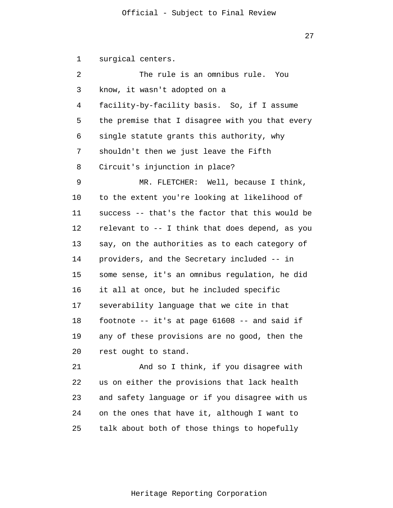1 2 3 4 5 6 7 8 9 10 11 12 13 14 15 16 17 18 19 20 21 22 23 24 surgical centers. The rule is an omnibus rule. You know, it wasn't adopted on a facility-by-facility basis. So, if I assume the premise that I disagree with you that every single statute grants this authority, why shouldn't then we just leave the Fifth Circuit's injunction in place? MR. FLETCHER: Well, because I think, to the extent you're looking at likelihood of success -- that's the factor that this would be relevant to -- I think that does depend, as you say, on the authorities as to each category of providers, and the Secretary included -- in some sense, it's an omnibus regulation, he did it all at once, but he included specific severability language that we cite in that footnote -- it's at page 61608 -- and said if any of these provisions are no good, then the rest ought to stand. And so I think, if you disagree with us on either the provisions that lack health and safety language or if you disagree with us on the ones that have it, although I want to

Heritage Reporting Corporation

talk about both of those things to hopefully

25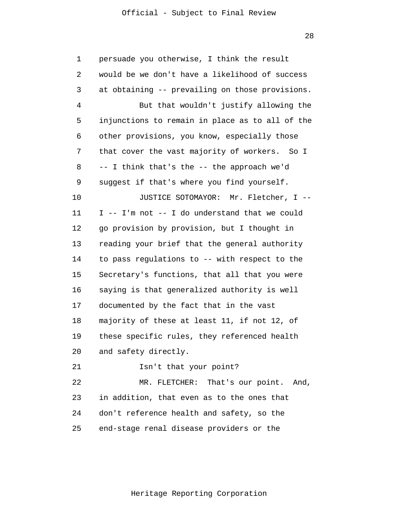| 1  | persuade you otherwise, I think the result      |
|----|-------------------------------------------------|
| 2  | would be we don't have a likelihood of success  |
| 3  | at obtaining -- prevailing on those provisions. |
| 4  | But that wouldn't justify allowing the          |
| 5  | injunctions to remain in place as to all of the |
| 6  | other provisions, you know, especially those    |
| 7  | that cover the vast majority of workers. So I   |
| 8  | -- I think that's the -- the approach we'd      |
| 9  | suggest if that's where you find yourself.      |
| 10 | JUSTICE SOTOMAYOR: Mr. Fletcher, I --           |
| 11 | I -- I'm not -- I do understand that we could   |
| 12 | go provision by provision, but I thought in     |
| 13 | reading your brief that the general authority   |
| 14 | to pass regulations to -- with respect to the   |
| 15 | Secretary's functions, that all that you were   |
| 16 | saying is that generalized authority is well    |
| 17 | documented by the fact that in the vast         |
| 18 | majority of these at least 11, if not 12, of    |
| 19 | these specific rules, they referenced health    |
| 20 | and safety directly.                            |
| 21 | Isn't that your point?                          |
| 22 | MR. FLETCHER: That's our point. And,            |
| 23 | in addition, that even as to the ones that      |
| 24 | don't reference health and safety, so the       |
| 25 | end-stage renal disease providers or the        |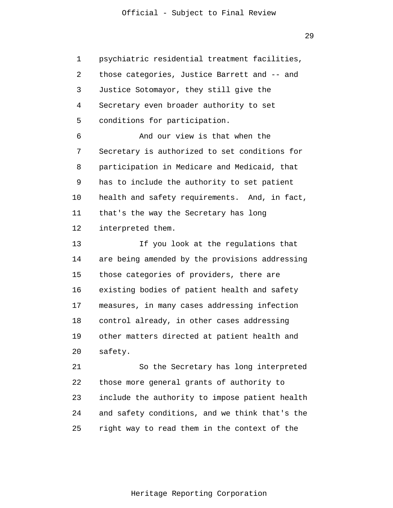29

1 2 3 4 5 6 7 8 9 10 11 12 13 14 15 16 17 18 19 20 21 22 23 24 25 psychiatric residential treatment facilities, those categories, Justice Barrett and -- and Justice Sotomayor, they still give the Secretary even broader authority to set conditions for participation. And our view is that when the Secretary is authorized to set conditions for participation in Medicare and Medicaid, that has to include the authority to set patient health and safety requirements. And, in fact, that's the way the Secretary has long interpreted them. If you look at the regulations that are being amended by the provisions addressing those categories of providers, there are existing bodies of patient health and safety measures, in many cases addressing infection control already, in other cases addressing other matters directed at patient health and safety. So the Secretary has long interpreted those more general grants of authority to include the authority to impose patient health and safety conditions, and we think that's the right way to read them in the context of the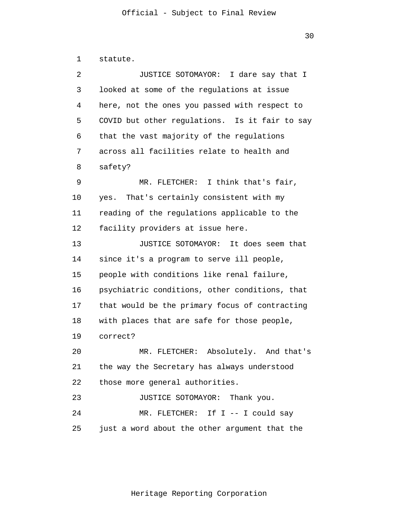| 1  | statute.                                       |
|----|------------------------------------------------|
| 2  | JUSTICE SOTOMAYOR: I dare say that I           |
| 3  | looked at some of the regulations at issue     |
| 4  | here, not the ones you passed with respect to  |
| 5  | COVID but other regulations. Is it fair to say |
| 6  | that the vast majority of the regulations      |
| 7  | across all facilities relate to health and     |
| 8  | safety?                                        |
| 9  | I think that's fair,<br>MR. FLETCHER:          |
| 10 | yes. That's certainly consistent with my       |
| 11 | reading of the regulations applicable to the   |
| 12 | facility providers at issue here.              |
| 13 | JUSTICE SOTOMAYOR: It does seem that           |
| 14 | since it's a program to serve ill people,      |
| 15 | people with conditions like renal failure,     |
| 16 | psychiatric conditions, other conditions, that |
| 17 | that would be the primary focus of contracting |
| 18 | with places that are safe for those people,    |
| 19 | correct?                                       |
| 20 | MR. FLETCHER: Absolutely. And that's           |
| 21 | the way the Secretary has always understood    |
| 22 | those more general authorities.                |
| 23 | JUSTICE SOTOMAYOR: Thank you.                  |
| 24 | MR. FLETCHER: If I -- I could say              |
| 25 | just a word about the other argument that the  |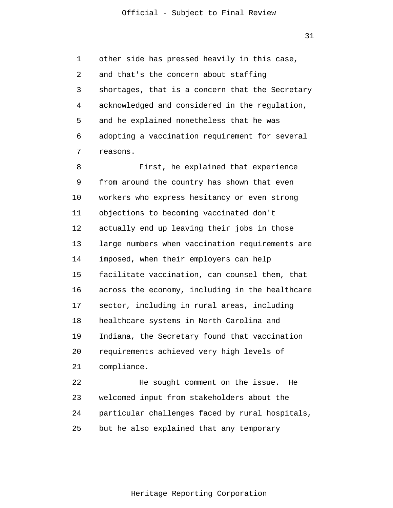31

1 2 3 4 5 6 7 other side has pressed heavily in this case, and that's the concern about staffing shortages, that is a concern that the Secretary acknowledged and considered in the regulation, and he explained nonetheless that he was adopting a vaccination requirement for several reasons.

8 9 10 11 12 13 14 15 16 17 18 19 20 21 22 First, he explained that experience from around the country has shown that even workers who express hesitancy or even strong objections to becoming vaccinated don't actually end up leaving their jobs in those large numbers when vaccination requirements are imposed, when their employers can help facilitate vaccination, can counsel them, that across the economy, including in the healthcare sector, including in rural areas, including healthcare systems in North Carolina and Indiana, the Secretary found that vaccination requirements achieved very high levels of compliance. He sought comment on the issue. He

23 24 25 welcomed input from stakeholders about the particular challenges faced by rural hospitals, but he also explained that any temporary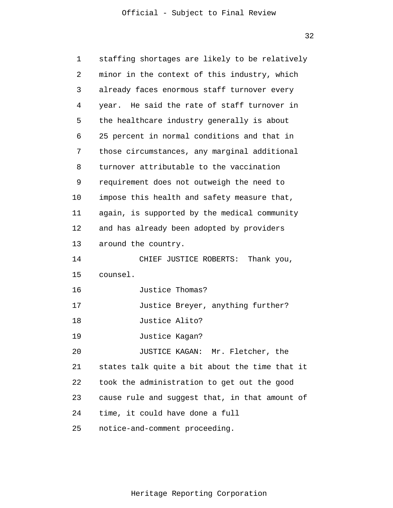32

| 1  | staffing shortages are likely to be relatively |
|----|------------------------------------------------|
| 2  | minor in the context of this industry, which   |
| 3  | already faces enormous staff turnover every    |
| 4  | year. He said the rate of staff turnover in    |
| 5  | the healthcare industry generally is about     |
| 6  | 25 percent in normal conditions and that in    |
| 7  | those circumstances, any marginal additional   |
| 8  | turnover attributable to the vaccination       |
| 9  | requirement does not outweigh the need to      |
| 10 | impose this health and safety measure that,    |
| 11 | again, is supported by the medical community   |
| 12 | and has already been adopted by providers      |
| 13 | around the country.                            |
| 14 | CHIEF JUSTICE ROBERTS: Thank you,              |
| 15 | counsel.                                       |
| 16 | Justice Thomas?                                |
| 17 | Justice Breyer, anything further?              |
| 18 | Justice Alito?                                 |
| 19 | Justice Kagan?                                 |
| 20 | JUSTICE KAGAN: Mr. Fletcher, the               |
| 21 | states talk quite a bit about the time that it |
| 22 | took the administration to get out the good    |
| 23 | cause rule and suggest that, in that amount of |
| 24 | time, it could have done a full                |
| 25 | notice-and-comment proceeding.                 |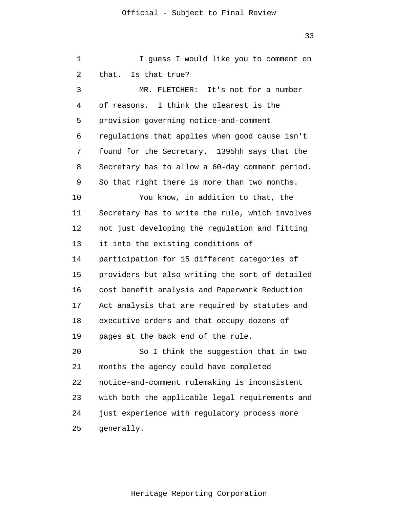1 2 3 4 5 6 7 8 9 10 11 12 13 14 15 16 17 18 19 20 21 22 23 24 25 I guess I would like you to comment on that. Is that true? MR. FLETCHER: It's not for a number of reasons. I think the clearest is the provision governing notice-and-comment regulations that applies when good cause isn't found for the Secretary. 1395hh says that the Secretary has to allow a 60-day comment period. So that right there is more than two months. You know, in addition to that, the Secretary has to write the rule, which involves not just developing the regulation and fitting it into the existing conditions of participation for 15 different categories of providers but also writing the sort of detailed cost benefit analysis and Paperwork Reduction Act analysis that are required by statutes and executive orders and that occupy dozens of pages at the back end of the rule. So I think the suggestion that in two months the agency could have completed notice-and-comment rulemaking is inconsistent with both the applicable legal requirements and just experience with regulatory process more generally.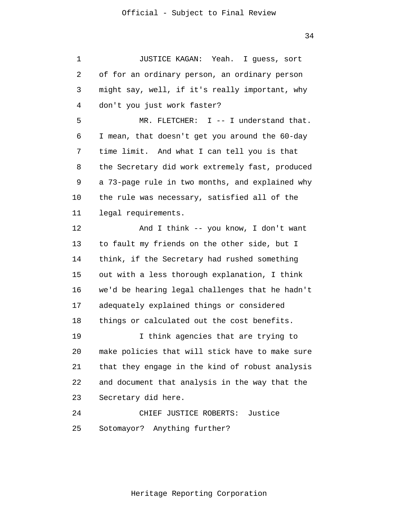1 2 3 4 5 6 7 8 9 10 11 12 13 14 15 16 17 18 19 20 21 22 23 24 25 JUSTICE KAGAN: Yeah. I guess, sort of for an ordinary person, an ordinary person might say, well, if it's really important, why don't you just work faster? MR. FLETCHER: I -- I understand that. I mean, that doesn't get you around the 60-day time limit. And what I can tell you is that the Secretary did work extremely fast, produced a 73-page rule in two months, and explained why the rule was necessary, satisfied all of the legal requirements. And I think -- you know, I don't want to fault my friends on the other side, but I think, if the Secretary had rushed something out with a less thorough explanation, I think we'd be hearing legal challenges that he hadn't adequately explained things or considered things or calculated out the cost benefits. I think agencies that are trying to make policies that will stick have to make sure that they engage in the kind of robust analysis and document that analysis in the way that the Secretary did here. CHIEF JUSTICE ROBERTS: Justice Sotomayor? Anything further?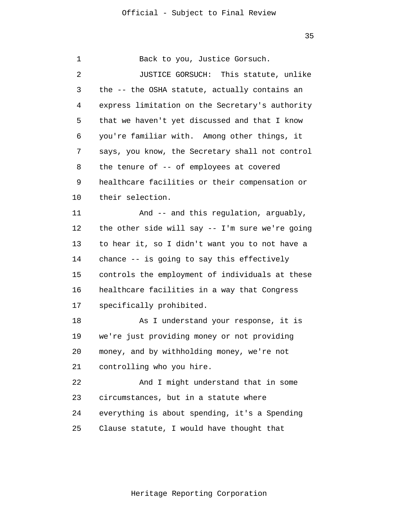1 2 3 4 5 6 7 8 9 10 11 12 13 14 15 16 17 18 19 20 21 22 23 24 25 Back to you, Justice Gorsuch. JUSTICE GORSUCH: This statute, unlike the -- the OSHA statute, actually contains an express limitation on the Secretary's authority that we haven't yet discussed and that I know you're familiar with. Among other things, it says, you know, the Secretary shall not control the tenure of -- of employees at covered healthcare facilities or their compensation or their selection. And -- and this regulation, arguably, the other side will say -- I'm sure we're going to hear it, so I didn't want you to not have a chance -- is going to say this effectively controls the employment of individuals at these healthcare facilities in a way that Congress specifically prohibited. As I understand your response, it is we're just providing money or not providing money, and by withholding money, we're not controlling who you hire. And I might understand that in some circumstances, but in a statute where everything is about spending, it's a Spending Clause statute, I would have thought that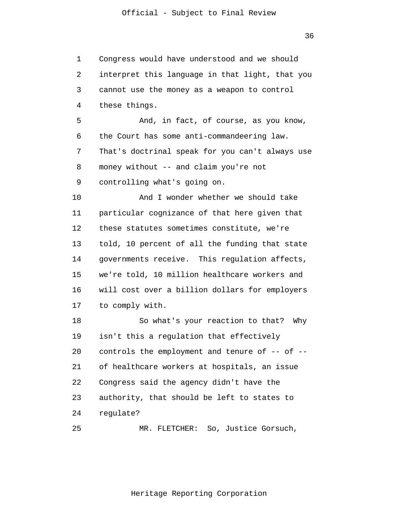1 2 3 4 5 6 7 8 9 10 11 12 13 14 15 16 17 18 19 20 21 22 23 24 25 Congress would have understood and we should interpret this language in that light, that you cannot use the money as a weapon to control these things. And, in fact, of course, as you know, the Court has some anti-commandeering law. That's doctrinal speak for you can't always use money without -- and claim you're not controlling what's going on. And I wonder whether we should take particular cognizance of that here given that these statutes sometimes constitute, we're told, 10 percent of all the funding that state governments receive. This regulation affects, we're told, 10 million healthcare workers and will cost over a billion dollars for employers to comply with. So what's your reaction to that? Why isn't this a regulation that effectively controls the employment and tenure of -- of - of healthcare workers at hospitals, an issue Congress said the agency didn't have the authority, that should be left to states to regulate? MR. FLETCHER: So, Justice Gorsuch,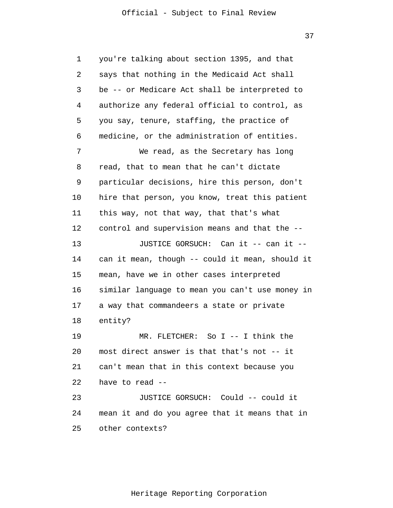| 1  | you're talking about section 1395, and that     |
|----|-------------------------------------------------|
| 2  | says that nothing in the Medicaid Act shall     |
| 3  | be -- or Medicare Act shall be interpreted to   |
| 4  | authorize any federal official to control, as   |
| 5  | you say, tenure, staffing, the practice of      |
| 6  | medicine, or the administration of entities.    |
| 7  | We read, as the Secretary has long              |
| 8  | read, that to mean that he can't dictate        |
| 9  | particular decisions, hire this person, don't   |
| 10 | hire that person, you know, treat this patient  |
| 11 | this way, not that way, that that's what        |
| 12 | control and supervision means and that the --   |
| 13 | JUSTICE GORSUCH: Can it -- can it --            |
| 14 | can it mean, though -- could it mean, should it |
| 15 | mean, have we in other cases interpreted        |
| 16 | similar language to mean you can't use money in |
| 17 | a way that commandeers a state or private       |
| 18 | entity?                                         |
| 19 | So I -- I think the<br>MR. FLETCHER:            |
| 20 | most direct answer is that that's not -- it     |
| 21 | can't mean that in this context because you     |
| 22 | have to read --                                 |
| 23 | JUSTICE GORSUCH: Could -- could it              |
| 24 | mean it and do you agree that it means that in  |
| 25 | other contexts?                                 |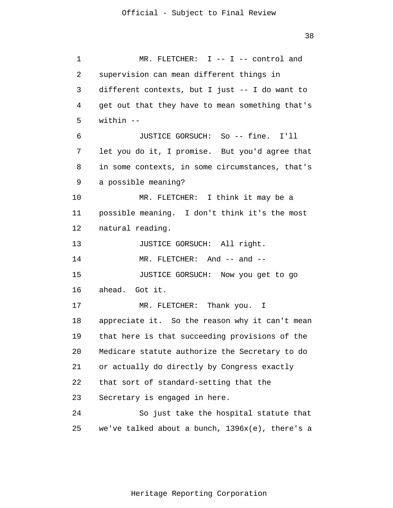1 2 3 4 5 6 7 8 9 10 11 12 13 14 15 16 17 18 19 20 21 22 23 24 25 MR. FLETCHER: I -- I -- control and supervision can mean different things in different contexts, but I just -- I do want to get out that they have to mean something that's within -- JUSTICE GORSUCH: So -- fine. I'll let you do it, I promise. But you'd agree that in some contexts, in some circumstances, that's a possible meaning? MR. FLETCHER: I think it may be a possible meaning. I don't think it's the most natural reading. JUSTICE GORSUCH: All right. MR. FLETCHER: And -- and --JUSTICE GORSUCH: Now you get to go ahead. Got it. MR. FLETCHER: Thank you. I appreciate it. So the reason why it can't mean that here is that succeeding provisions of the Medicare statute authorize the Secretary to do or actually do directly by Congress exactly that sort of standard-setting that the Secretary is engaged in here. So just take the hospital statute that we've talked about a bunch, 1396x(e), there's a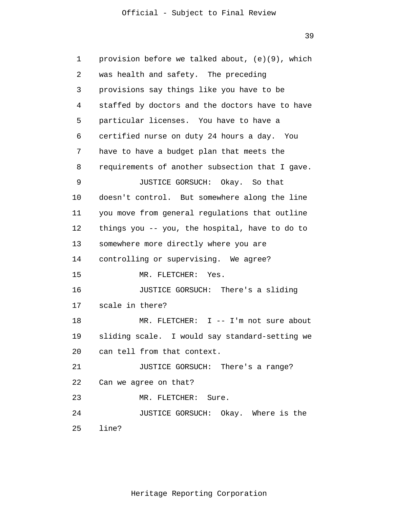39

| 1  | provision before we talked about, (e)(9), which |
|----|-------------------------------------------------|
| 2  | was health and safety. The preceding            |
| 3  | provisions say things like you have to be       |
| 4  | staffed by doctors and the doctors have to have |
| 5  | particular licenses. You have to have a         |
| 6  | certified nurse on duty 24 hours a day. You     |
| 7  | have to have a budget plan that meets the       |
| 8  | requirements of another subsection that I gave. |
| 9  | JUSTICE GORSUCH: Okay. So that                  |
| 10 | doesn't control. But somewhere along the line   |
| 11 | you move from general regulations that outline  |
| 12 | things you -- you, the hospital, have to do to  |
| 13 | somewhere more directly where you are           |
| 14 | controlling or supervising. We agree?           |
| 15 | MR. FLETCHER:<br>Yes.                           |
| 16 | JUSTICE GORSUCH: There's a sliding              |
| 17 | scale in there?                                 |
| 18 | MR. FLETCHER: I -- I'm not sure about           |
| 19 | sliding scale. I would say standard-setting we  |
|    | 20 can tell from that context.                  |
| 21 | JUSTICE GORSUCH: There's a range?               |
| 22 | Can we agree on that?                           |
| 23 | MR. FLETCHER: Sure.                             |
| 24 | JUSTICE GORSUCH: Okay. Where is the             |
| 25 | line?                                           |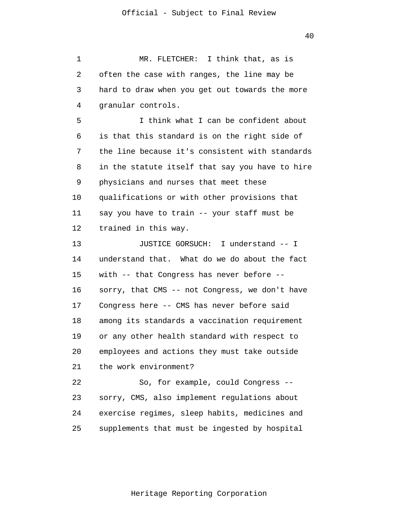1 2 3 4 5 6 7 8 9 10 11 12 13 14 15 16 17 18 19 20 21 22 23 24 25 MR. FLETCHER: I think that, as is often the case with ranges, the line may be hard to draw when you get out towards the more granular controls. I think what I can be confident about is that this standard is on the right side of the line because it's consistent with standards in the statute itself that say you have to hire physicians and nurses that meet these qualifications or with other provisions that say you have to train -- your staff must be trained in this way. JUSTICE GORSUCH: I understand -- I understand that. What do we do about the fact with -- that Congress has never before - sorry, that CMS -- not Congress, we don't have Congress here -- CMS has never before said among its standards a vaccination requirement or any other health standard with respect to employees and actions they must take outside the work environment? So, for example, could Congress - sorry, CMS, also implement regulations about exercise regimes, sleep habits, medicines and supplements that must be ingested by hospital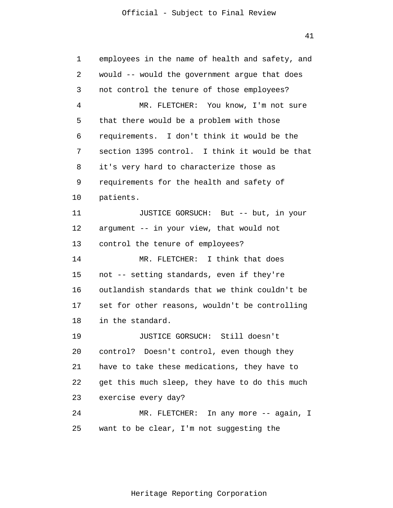| 1  | employees in the name of health and safety, and |
|----|-------------------------------------------------|
| 2  | would -- would the government argue that does   |
| 3  | not control the tenure of those employees?      |
| 4  | MR. FLETCHER: You know, I'm not sure            |
| 5  | that there would be a problem with those        |
| 6  | requirements. I don't think it would be the     |
| 7  | section 1395 control. I think it would be that  |
| 8  | it's very hard to characterize those as         |
| 9  | requirements for the health and safety of       |
| 10 | patients.                                       |
| 11 | JUSTICE GORSUCH: But -- but, in your            |
| 12 | argument -- in your view, that would not        |
| 13 | control the tenure of employees?                |
| 14 | MR. FLETCHER: I think that does                 |
| 15 | not -- setting standards, even if they're       |
| 16 | outlandish standards that we think couldn't be  |
| 17 | set for other reasons, wouldn't be controlling  |
| 18 | in the standard.                                |
| 19 | JUSTICE GORSUCH: Still doesn't                  |
| 20 | control? Doesn't control, even though they      |
| 21 | have to take these medications, they have to    |
| 22 | get this much sleep, they have to do this much  |
| 23 | exercise every day?                             |
| 24 | MR. FLETCHER: In any more -- again, I           |
| 25 | want to be clear, I'm not suggesting the        |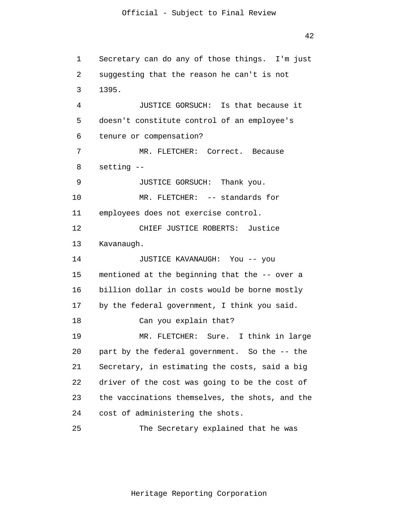1 2 3 4 5 6 7 8 9 10 11 12 13 14 15 16 17 18 19 20 21 22 23 24 25 Secretary can do any of those things. I'm just suggesting that the reason he can't is not 1395. JUSTICE GORSUCH: Is that because it doesn't constitute control of an employee's tenure or compensation? MR. FLETCHER: Correct. Because setting -- JUSTICE GORSUCH: Thank you. MR. FLETCHER: -- standards for employees does not exercise control. CHIEF JUSTICE ROBERTS: Justice Kavanaugh. JUSTICE KAVANAUGH: You -- you mentioned at the beginning that the -- over a billion dollar in costs would be borne mostly by the federal government, I think you said. Can you explain that? MR. FLETCHER: Sure. I think in large part by the federal government. So the -- the Secretary, in estimating the costs, said a big driver of the cost was going to be the cost of the vaccinations themselves, the shots, and the cost of administering the shots. The Secretary explained that he was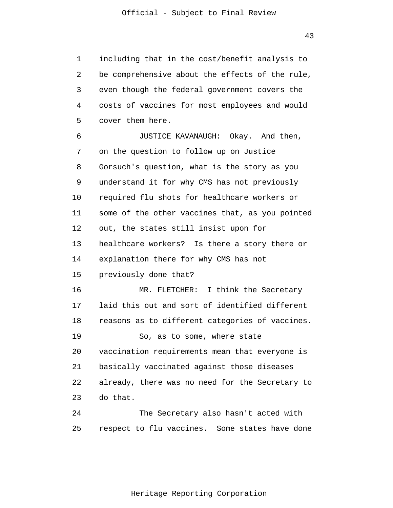1 2 3 4 5 including that in the cost/benefit analysis to be comprehensive about the effects of the rule, even though the federal government covers the costs of vaccines for most employees and would cover them here.

6 7 8 9 10 11 12 13 14 15 16 17 18 19 20 21 22 23 24 25 JUSTICE KAVANAUGH: Okay. And then, on the question to follow up on Justice Gorsuch's question, what is the story as you understand it for why CMS has not previously required flu shots for healthcare workers or some of the other vaccines that, as you pointed out, the states still insist upon for healthcare workers? Is there a story there or explanation there for why CMS has not previously done that? MR. FLETCHER: I think the Secretary laid this out and sort of identified different reasons as to different categories of vaccines. So, as to some, where state vaccination requirements mean that everyone is basically vaccinated against those diseases already, there was no need for the Secretary to do that. The Secretary also hasn't acted with respect to flu vaccines. Some states have done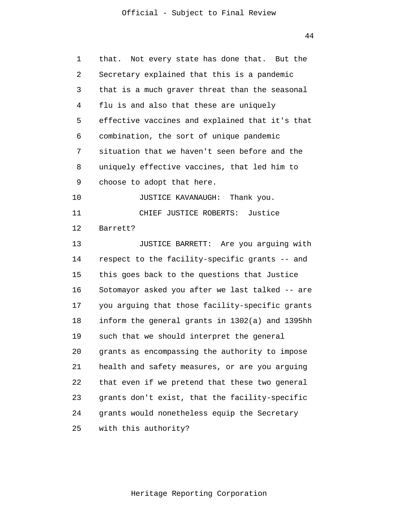44

| 1  | that. Not every state has done that. But the    |
|----|-------------------------------------------------|
| 2  | Secretary explained that this is a pandemic     |
| 3  | that is a much graver threat than the seasonal  |
| 4  | flu is and also that these are uniquely         |
| 5  | effective vaccines and explained that it's that |
| 6  | combination, the sort of unique pandemic        |
| 7  | situation that we haven't seen before and the   |
| 8  | uniquely effective vaccines, that led him to    |
| 9  | choose to adopt that here.                      |
| 10 | JUSTICE KAVANAUGH: Thank you.                   |
| 11 | CHIEF JUSTICE ROBERTS: Justice                  |
| 12 | Barrett?                                        |
| 13 | JUSTICE BARRETT: Are you arguing with           |
| 14 | respect to the facility-specific grants -- and  |
| 15 | this goes back to the questions that Justice    |
| 16 | Sotomayor asked you after we last talked -- are |
| 17 | you arguing that those facility-specific grants |
| 18 | inform the general grants in 1302(a) and 1395hh |
| 19 | such that we should interpret the general       |
| 20 | grants as encompassing the authority to impose  |
| 21 | health and safety measures, or are you arguing  |
| 22 | that even if we pretend that these two general  |
| 23 | grants don't exist, that the facility-specific  |
| 24 | grants would nonetheless equip the Secretary    |
| 25 | with this authority?                            |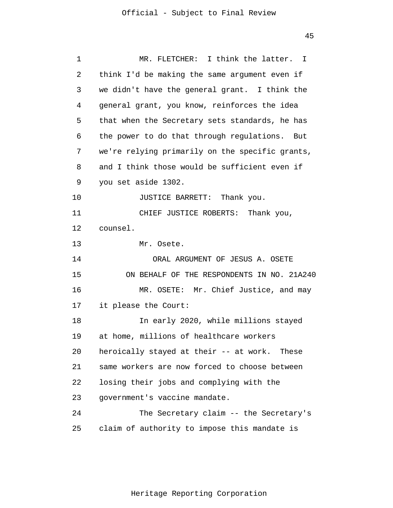| 1  | MR. FLETCHER: I think the latter. I             |
|----|-------------------------------------------------|
| 2  | think I'd be making the same argument even if   |
| 3  | we didn't have the general grant. I think the   |
| 4  | general grant, you know, reinforces the idea    |
| 5  | that when the Secretary sets standards, he has  |
| 6  | the power to do that through regulations. But   |
| 7  | we're relying primarily on the specific grants, |
| 8  | and I think those would be sufficient even if   |
| 9  | you set aside 1302.                             |
| 10 | JUSTICE BARRETT: Thank you.                     |
| 11 | CHIEF JUSTICE ROBERTS: Thank you,               |
| 12 | counsel.                                        |
| 13 | Mr. Osete.                                      |
| 14 | ORAL ARGUMENT OF JESUS A. OSETE                 |
| 15 | ON BEHALF OF THE RESPONDENTS IN NO. 21A240      |
| 16 | MR. OSETE: Mr. Chief Justice, and may           |
| 17 | it please the Court:                            |
| 18 | In early 2020, while millions stayed            |
| 19 | at home, millions of healthcare workers         |
| 20 | heroically stayed at their -- at work. These    |
| 21 | same workers are now forced to choose between   |
| 22 | losing their jobs and complying with the        |
| 23 | government's vaccine mandate.                   |
| 24 | The Secretary claim -- the Secretary's          |
| 25 | claim of authority to impose this mandate is    |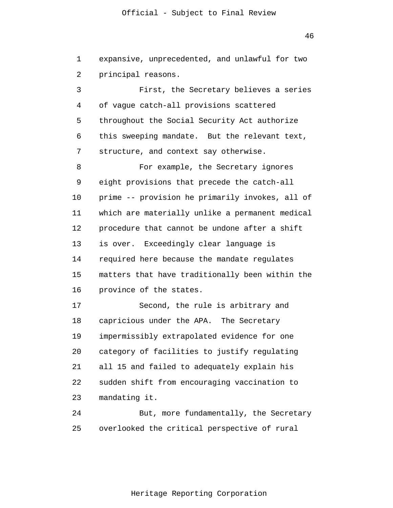46

1 2 expansive, unprecedented, and unlawful for two principal reasons.

3 4 5 6 7 8 9 10 11 12 13 14 15 First, the Secretary believes a series of vague catch-all provisions scattered throughout the Social Security Act authorize this sweeping mandate. But the relevant text, structure, and context say otherwise. For example, the Secretary ignores eight provisions that precede the catch-all prime -- provision he primarily invokes, all of which are materially unlike a permanent medical procedure that cannot be undone after a shift is over. Exceedingly clear language is required here because the mandate regulates matters that have traditionally been within the

17 18 19 20 21 22 23 Second, the rule is arbitrary and capricious under the APA. The Secretary impermissibly extrapolated evidence for one category of facilities to justify regulating all 15 and failed to adequately explain his sudden shift from encouraging vaccination to mandating it.

province of the states.

16

24 25 But, more fundamentally, the Secretary overlooked the critical perspective of rural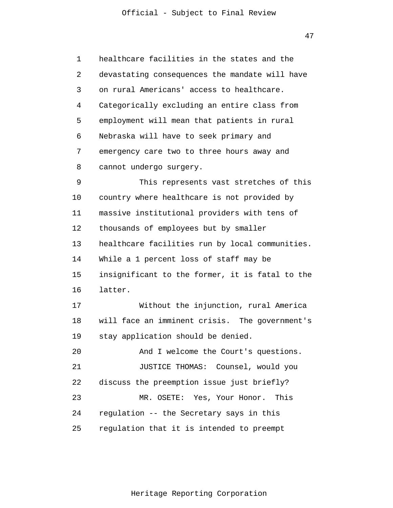1 2 3 4 5 6 7 8 9 10 11 12 13 14 15 16 17 18 19 20 21 22 23 24 25 healthcare facilities in the states and the devastating consequences the mandate will have on rural Americans' access to healthcare. Categorically excluding an entire class from employment will mean that patients in rural Nebraska will have to seek primary and emergency care two to three hours away and cannot undergo surgery. This represents vast stretches of this country where healthcare is not provided by massive institutional providers with tens of thousands of employees but by smaller healthcare facilities run by local communities. While a 1 percent loss of staff may be insignificant to the former, it is fatal to the latter. Without the injunction, rural America will face an imminent crisis. The government's stay application should be denied. And I welcome the Court's questions. JUSTICE THOMAS: Counsel, would you discuss the preemption issue just briefly? MR. OSETE: Yes, Your Honor. This regulation -- the Secretary says in this regulation that it is intended to preempt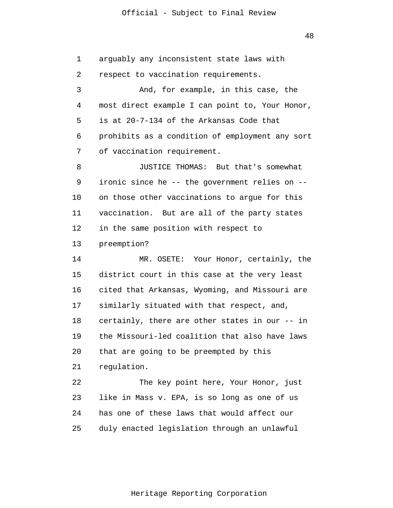48

1 2 3 4 5 6 7 8 9 10 11 12 13 14 15 16 17 18 19 20 21 22 23 24 25 arguably any inconsistent state laws with respect to vaccination requirements. And, for example, in this case, the most direct example I can point to, Your Honor, is at 20-7-134 of the Arkansas Code that prohibits as a condition of employment any sort of vaccination requirement. JUSTICE THOMAS: But that's somewhat ironic since he -- the government relies on - on those other vaccinations to argue for this vaccination. But are all of the party states in the same position with respect to preemption? MR. OSETE: Your Honor, certainly, the district court in this case at the very least cited that Arkansas, Wyoming, and Missouri are similarly situated with that respect, and, certainly, there are other states in our -- in the Missouri-led coalition that also have laws that are going to be preempted by this regulation. The key point here, Your Honor, just like in Mass v. EPA, is so long as one of us has one of these laws that would affect our duly enacted legislation through an unlawful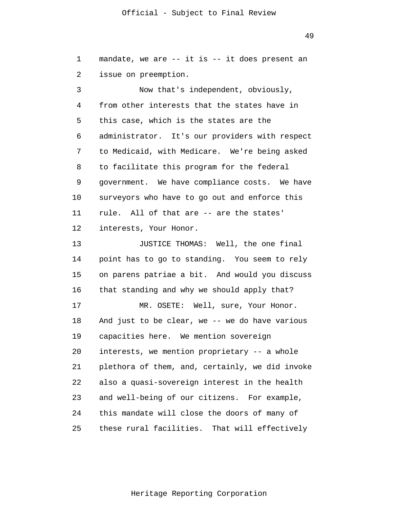1 2 mandate, we are -- it is -- it does present an issue on preemption.

3 4 5 6 7 8 9 10 11 12 13 14 15 16 17 18 19 20 21 22 23 24 25 Now that's independent, obviously, from other interests that the states have in this case, which is the states are the administrator. It's our providers with respect to Medicaid, with Medicare. We're being asked to facilitate this program for the federal government. We have compliance costs. We have surveyors who have to go out and enforce this rule. All of that are -- are the states' interests, Your Honor. JUSTICE THOMAS: Well, the one final point has to go to standing. You seem to rely on parens patriae a bit. And would you discuss that standing and why we should apply that? MR. OSETE: Well, sure, Your Honor. And just to be clear, we -- we do have various capacities here. We mention sovereign interests, we mention proprietary -- a whole plethora of them, and, certainly, we did invoke also a quasi-sovereign interest in the health and well-being of our citizens. For example, this mandate will close the doors of many of these rural facilities. That will effectively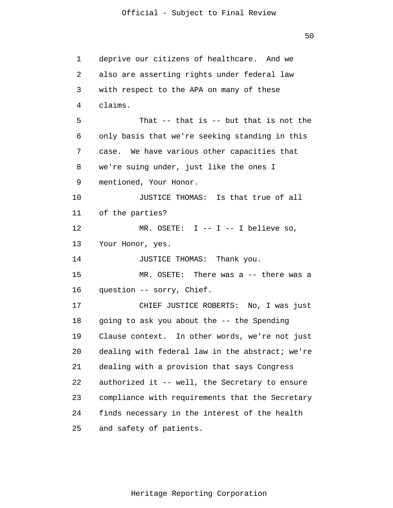1 2 3 4 5 6 7 8 9 10 11 12 13 14 15 16 17 18 19 20 21 22 23 24 25 deprive our citizens of healthcare. And we also are asserting rights under federal law with respect to the APA on many of these claims. That -- that is -- but that is not the only basis that we're seeking standing in this case. We have various other capacities that we're suing under, just like the ones I mentioned, Your Honor. JUSTICE THOMAS: Is that true of all of the parties? MR. OSETE:  $I$  --  $I$  -- I believe so, Your Honor, yes. JUSTICE THOMAS: Thank you. MR. OSETE: There was a -- there was a question -- sorry, Chief. CHIEF JUSTICE ROBERTS: No, I was just going to ask you about the -- the Spending Clause context. In other words, we're not just dealing with federal law in the abstract; we're dealing with a provision that says Congress authorized it -- well, the Secretary to ensure compliance with requirements that the Secretary finds necessary in the interest of the health and safety of patients.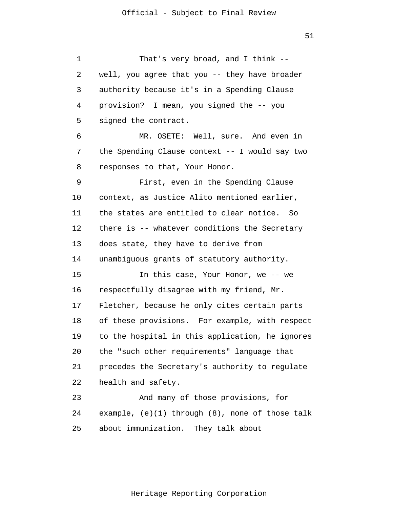1 2 3 4 5 6 7 8 9 10 11 12 13 14 15 16 17 18 19 20 21 22 23 24 25 That's very broad, and I think - well, you agree that you -- they have broader authority because it's in a Spending Clause provision? I mean, you signed the -- you signed the contract. MR. OSETE: Well, sure. And even in the Spending Clause context -- I would say two responses to that, Your Honor. First, even in the Spending Clause context, as Justice Alito mentioned earlier, the states are entitled to clear notice. So there is -- whatever conditions the Secretary does state, they have to derive from unambiguous grants of statutory authority. In this case, Your Honor, we -- we respectfully disagree with my friend, Mr. Fletcher, because he only cites certain parts of these provisions. For example, with respect to the hospital in this application, he ignores the "such other requirements" language that precedes the Secretary's authority to regulate health and safety. And many of those provisions, for example, (e)(1) through (8), none of those talk about immunization. They talk about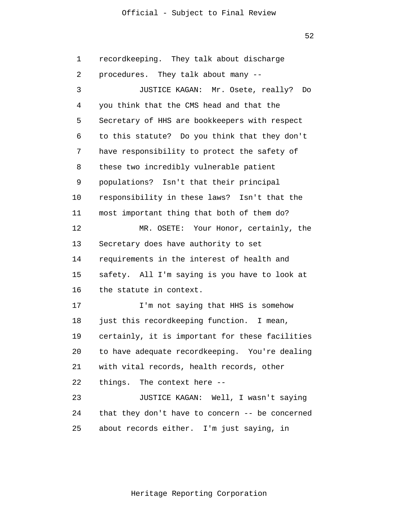52

1 2 3 4 5 6 7 8 9 10 11 12 13 14 15 16 17 18 19 20 21 22 23 24 25 recordkeeping. They talk about discharge procedures. They talk about many -- JUSTICE KAGAN: Mr. Osete, really? Do you think that the CMS head and that the Secretary of HHS are bookkeepers with respect to this statute? Do you think that they don't have responsibility to protect the safety of these two incredibly vulnerable patient populations? Isn't that their principal responsibility in these laws? Isn't that the most important thing that both of them do? MR. OSETE: Your Honor, certainly, the Secretary does have authority to set requirements in the interest of health and safety. All I'm saying is you have to look at the statute in context. I'm not saying that HHS is somehow just this recordkeeping function. I mean, certainly, it is important for these facilities to have adequate recordkeeping. You're dealing with vital records, health records, other things. The context here -- JUSTICE KAGAN: Well, I wasn't saying that they don't have to concern -- be concerned about records either. I'm just saying, in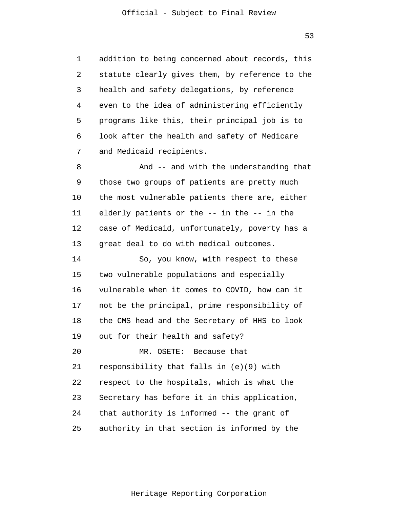1 2 3 4 5 6 7 addition to being concerned about records, this statute clearly gives them, by reference to the health and safety delegations, by reference even to the idea of administering efficiently programs like this, their principal job is to look after the health and safety of Medicare and Medicaid recipients.

8 9 10 11 12 13 And -- and with the understanding that those two groups of patients are pretty much the most vulnerable patients there are, either elderly patients or the -- in the -- in the case of Medicaid, unfortunately, poverty has a great deal to do with medical outcomes.

14 15 16 17 18 19 20 21 22 23 24 25 So, you know, with respect to these two vulnerable populations and especially vulnerable when it comes to COVID, how can it not be the principal, prime responsibility of the CMS head and the Secretary of HHS to look out for their health and safety? MR. OSETE: Because that responsibility that falls in (e)(9) with respect to the hospitals, which is what the Secretary has before it in this application, that authority is informed -- the grant of authority in that section is informed by the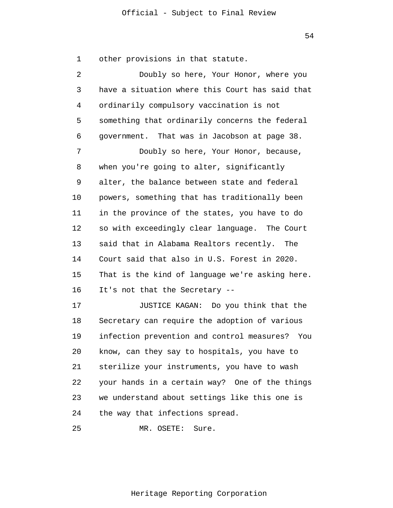1 2 3 4 5 6 7 8 9 10 11 12 13 14 15 16 17 18 19 20 21 22 23 24 other provisions in that statute. Doubly so here, Your Honor, where you have a situation where this Court has said that ordinarily compulsory vaccination is not something that ordinarily concerns the federal government. That was in Jacobson at page 38. Doubly so here, Your Honor, because, when you're going to alter, significantly alter, the balance between state and federal powers, something that has traditionally been in the province of the states, you have to do so with exceedingly clear language. The Court said that in Alabama Realtors recently. The Court said that also in U.S. Forest in 2020. That is the kind of language we're asking here. It's not that the Secretary -- JUSTICE KAGAN: Do you think that the Secretary can require the adoption of various infection prevention and control measures? You know, can they say to hospitals, you have to sterilize your instruments, you have to wash your hands in a certain way? One of the things we understand about settings like this one is the way that infections spread.

25 MR. OSETE: Sure.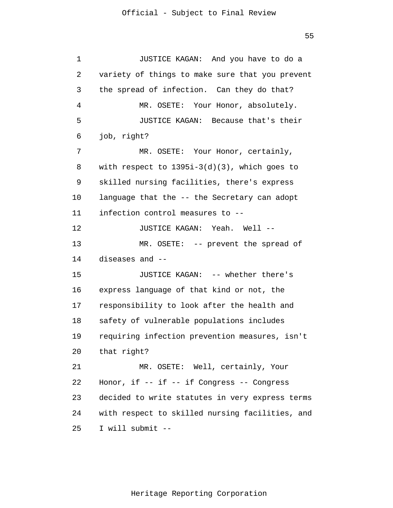1 2 3 4 5 6 7 8 9 10 11 12 13 14 15 16 17 18 19 20 21 22 23 24 25 JUSTICE KAGAN: And you have to do a variety of things to make sure that you prevent the spread of infection. Can they do that? MR. OSETE: Your Honor, absolutely. JUSTICE KAGAN: Because that's their job, right? MR. OSETE: Your Honor, certainly, with respect to 1395i-3(d)(3), which goes to skilled nursing facilities, there's express language that the -- the Secretary can adopt infection control measures to -- JUSTICE KAGAN: Yeah. Well -- MR. OSETE: -- prevent the spread of diseases and -- JUSTICE KAGAN: -- whether there's express language of that kind or not, the responsibility to look after the health and safety of vulnerable populations includes requiring infection prevention measures, isn't that right? MR. OSETE: Well, certainly, Your Honor, if -- if -- if Congress -- Congress decided to write statutes in very express terms with respect to skilled nursing facilities, and I will submit --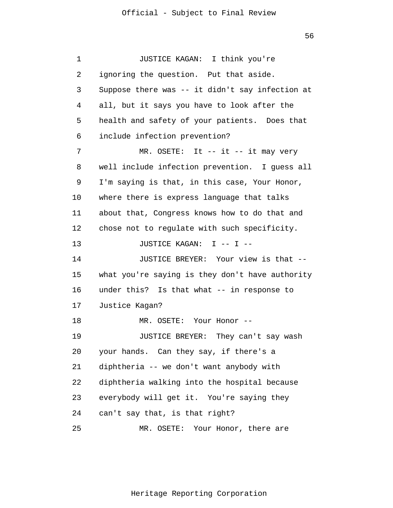1 2 3 4 5 6 7 8 9 10 11 12 13 14 15 16 17 18 19 20 21 22 23 24 25 JUSTICE KAGAN: I think you're ignoring the question. Put that aside. Suppose there was -- it didn't say infection at all, but it says you have to look after the health and safety of your patients. Does that include infection prevention? MR. OSETE: It -- it -- it may very well include infection prevention. I guess all I'm saying is that, in this case, Your Honor, where there is express language that talks about that, Congress knows how to do that and chose not to regulate with such specificity. JUSTICE KAGAN: I -- I --JUSTICE BREYER: Your view is that - what you're saying is they don't have authority under this? Is that what -- in response to Justice Kagan? MR. OSETE: Your Honor -- JUSTICE BREYER: They can't say wash your hands. Can they say, if there's a diphtheria -- we don't want anybody with diphtheria walking into the hospital because everybody will get it. You're saying they can't say that, is that right? MR. OSETE: Your Honor, there are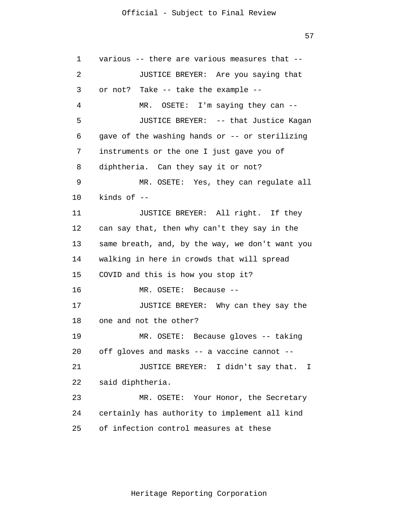57

1 2 3 4 5 6 7 8 9 10 11 12 13 14 15 16 17 18 19 20 21 22 23 24 25 various -- there are various measures that -- JUSTICE BREYER: Are you saying that or not? Take -- take the example -- MR. OSETE: I'm saying they can --JUSTICE BREYER: -- that Justice Kagan gave of the washing hands or -- or sterilizing instruments or the one I just gave you of diphtheria. Can they say it or not? MR. OSETE: Yes, they can regulate all kinds of -- JUSTICE BREYER: All right. If they can say that, then why can't they say in the same breath, and, by the way, we don't want you walking in here in crowds that will spread COVID and this is how you stop it? MR. OSETE: Because -- JUSTICE BREYER: Why can they say the one and not the other? MR. OSETE: Because gloves -- taking off gloves and masks -- a vaccine cannot -- JUSTICE BREYER: I didn't say that. I said diphtheria. MR. OSETE: Your Honor, the Secretary certainly has authority to implement all kind of infection control measures at these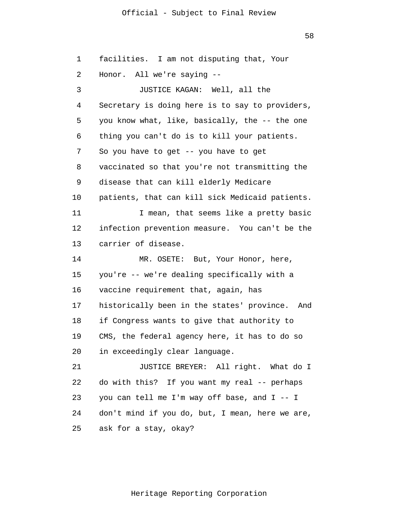58

1 2 3 4 5 6 7 8 9 10 11 12 13 14 15 16 17 18 19 20 21 22 23 24 25 facilities. I am not disputing that, Your Honor. All we're saying -- JUSTICE KAGAN: Well, all the Secretary is doing here is to say to providers, you know what, like, basically, the -- the one thing you can't do is to kill your patients. So you have to get -- you have to get vaccinated so that you're not transmitting the disease that can kill elderly Medicare patients, that can kill sick Medicaid patients. I mean, that seems like a pretty basic infection prevention measure. You can't be the carrier of disease. MR. OSETE: But, Your Honor, here, you're -- we're dealing specifically with a vaccine requirement that, again, has historically been in the states' province. And if Congress wants to give that authority to CMS, the federal agency here, it has to do so in exceedingly clear language. JUSTICE BREYER: All right. What do I do with this? If you want my real -- perhaps you can tell me I'm way off base, and I -- I don't mind if you do, but, I mean, here we are, ask for a stay, okay?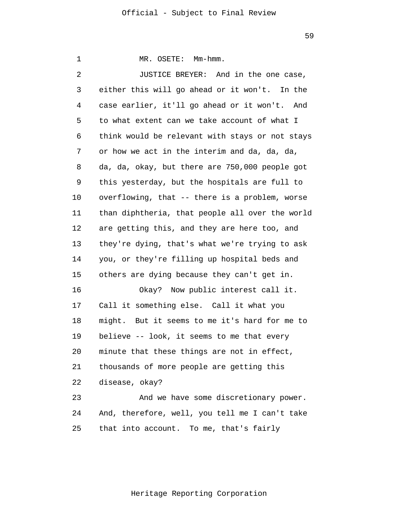1 2 3 4 5 6 7 8 9 10 11 12 13 14 15 16 17 18 19 20 21 22 23 24 25 MR. OSETE: Mm-hmm. JUSTICE BREYER: And in the one case, either this will go ahead or it won't. In the case earlier, it'll go ahead or it won't. And to what extent can we take account of what I think would be relevant with stays or not stays or how we act in the interim and da, da, da, da, da, okay, but there are 750,000 people got this yesterday, but the hospitals are full to overflowing, that -- there is a problem, worse than diphtheria, that people all over the world are getting this, and they are here too, and they're dying, that's what we're trying to ask you, or they're filling up hospital beds and others are dying because they can't get in. Okay? Now public interest call it. Call it something else. Call it what you might. But it seems to me it's hard for me to believe -- look, it seems to me that every minute that these things are not in effect, thousands of more people are getting this disease, okay? And we have some discretionary power. And, therefore, well, you tell me I can't take that into account. To me, that's fairly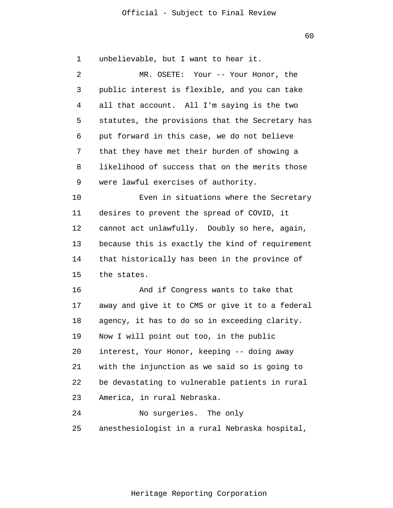60

1 2 3 4 5 6 7 8 9 10 11 12 13 14 15 16 17 18 19 20 21 22 23 24 25 unbelievable, but I want to hear it. MR. OSETE: Your -- Your Honor, the public interest is flexible, and you can take all that account. All I'm saying is the two statutes, the provisions that the Secretary has put forward in this case, we do not believe that they have met their burden of showing a likelihood of success that on the merits those were lawful exercises of authority. Even in situations where the Secretary desires to prevent the spread of COVID, it cannot act unlawfully. Doubly so here, again, because this is exactly the kind of requirement that historically has been in the province of the states. And if Congress wants to take that away and give it to CMS or give it to a federal agency, it has to do so in exceeding clarity. Now I will point out too, in the public interest, Your Honor, keeping -- doing away with the injunction as we said so is going to be devastating to vulnerable patients in rural America, in rural Nebraska. No surgeries. The only anesthesiologist in a rural Nebraska hospital,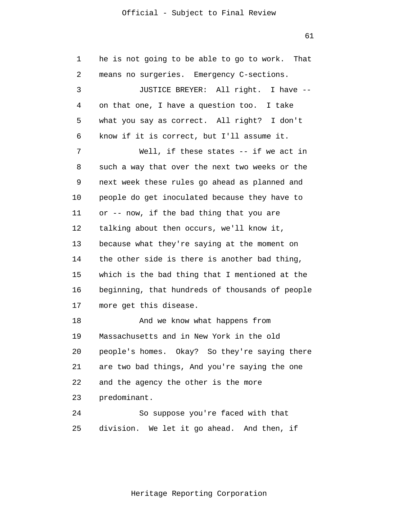61

1 2 3 4 5 6 7 8 9 10 11 12 13 14 15 16 17 18 19 20 21 22 23 24 25 he is not going to be able to go to work. That means no surgeries. Emergency C-sections. JUSTICE BREYER: All right. I have - on that one, I have a question too. I take what you say as correct. All right? I don't know if it is correct, but I'll assume it. Well, if these states -- if we act in such a way that over the next two weeks or the next week these rules go ahead as planned and people do get inoculated because they have to or -- now, if the bad thing that you are talking about then occurs, we'll know it, because what they're saying at the moment on the other side is there is another bad thing, which is the bad thing that I mentioned at the beginning, that hundreds of thousands of people more get this disease. And we know what happens from Massachusetts and in New York in the old people's homes. Okay? So they're saying there are two bad things, And you're saying the one and the agency the other is the more predominant. So suppose you're faced with that division. We let it go ahead. And then, if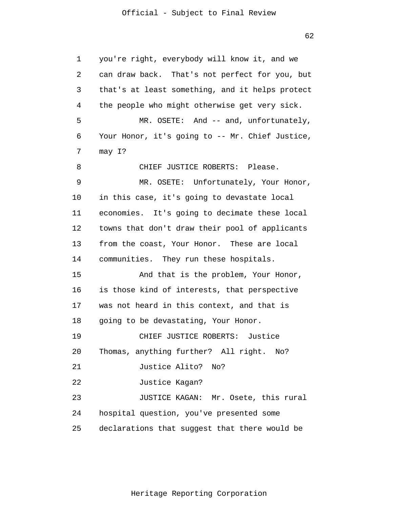62

1 2 3 4 5 6 7 8 9 10 11 12 13 14 15 16 17 18 19 20 21 22 23 24 25 you're right, everybody will know it, and we can draw back. That's not perfect for you, but that's at least something, and it helps protect the people who might otherwise get very sick. MR. OSETE: And -- and, unfortunately, Your Honor, it's going to -- Mr. Chief Justice, may I? CHIEF JUSTICE ROBERTS: Please. MR. OSETE: Unfortunately, Your Honor, in this case, it's going to devastate local economies. It's going to decimate these local towns that don't draw their pool of applicants from the coast, Your Honor. These are local communities. They run these hospitals. And that is the problem, Your Honor, is those kind of interests, that perspective was not heard in this context, and that is going to be devastating, Your Honor. CHIEF JUSTICE ROBERTS: Justice Thomas, anything further? All right. No? Justice Alito? No? Justice Kagan? JUSTICE KAGAN: Mr. Osete, this rural hospital question, you've presented some declarations that suggest that there would be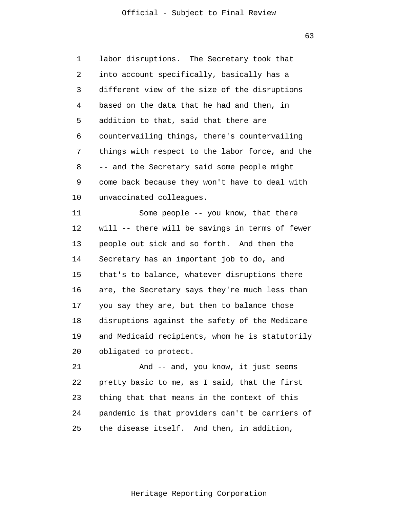63

1 2 3 4 5 6 7 8 9 10 labor disruptions. The Secretary took that into account specifically, basically has a different view of the size of the disruptions based on the data that he had and then, in addition to that, said that there are countervailing things, there's countervailing things with respect to the labor force, and the -- and the Secretary said some people might come back because they won't have to deal with unvaccinated colleagues.

11 12 13 14 15 16 17 18 19 20 Some people -- you know, that there will -- there will be savings in terms of fewer people out sick and so forth. And then the Secretary has an important job to do, and that's to balance, whatever disruptions there are, the Secretary says they're much less than you say they are, but then to balance those disruptions against the safety of the Medicare and Medicaid recipients, whom he is statutorily obligated to protect.

21 22 23 24 25 And -- and, you know, it just seems pretty basic to me, as I said, that the first thing that that means in the context of this pandemic is that providers can't be carriers of the disease itself. And then, in addition,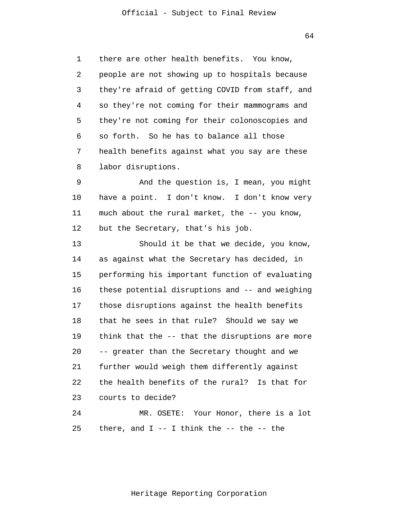1 2 3 4 5 6 7 8 there are other health benefits. You know, people are not showing up to hospitals because they're afraid of getting COVID from staff, and so they're not coming for their mammograms and they're not coming for their colonoscopies and so forth. So he has to balance all those health benefits against what you say are these labor disruptions.

9 10 11 12 And the question is, I mean, you might have a point. I don't know. I don't know very much about the rural market, the -- you know, but the Secretary, that's his job.

13 14 15 16 17 18 19 20 21 22 23 24 Should it be that we decide, you know, as against what the Secretary has decided, in performing his important function of evaluating these potential disruptions and -- and weighing those disruptions against the health benefits that he sees in that rule? Should we say we think that the -- that the disruptions are more -- greater than the Secretary thought and we further would weigh them differently against the health benefits of the rural? Is that for courts to decide? MR. OSETE: Your Honor, there is a lot

25 there, and  $I$  -- I think the -- the -- the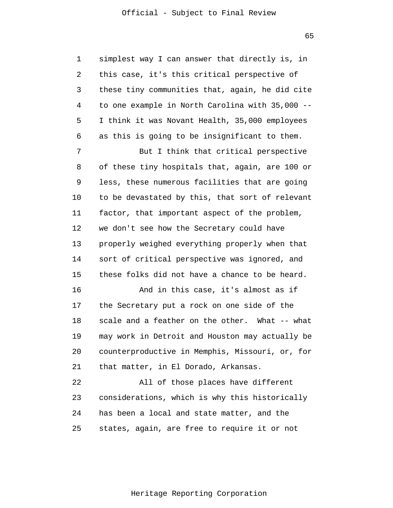65

1 2 3 4 5 6 simplest way I can answer that directly is, in this case, it's this critical perspective of these tiny communities that, again, he did cite to one example in North Carolina with 35,000 -- I think it was Novant Health, 35,000 employees as this is going to be insignificant to them.

7 8 9 10 11 12 13 14 15 But I think that critical perspective of these tiny hospitals that, again, are 100 or less, these numerous facilities that are going to be devastated by this, that sort of relevant factor, that important aspect of the problem, we don't see how the Secretary could have properly weighed everything properly when that sort of critical perspective was ignored, and these folks did not have a chance to be heard.

16 17 18 19 20 21 And in this case, it's almost as if the Secretary put a rock on one side of the scale and a feather on the other. What -- what may work in Detroit and Houston may actually be counterproductive in Memphis, Missouri, or, for that matter, in El Dorado, Arkansas.

22 23 24 25 All of those places have different considerations, which is why this historically has been a local and state matter, and the states, again, are free to require it or not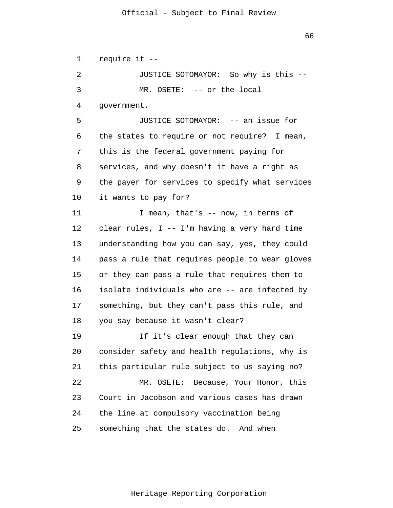66

1 2 3 4 5 6 7 8 9 10 11 12 13 14 15 16 17 18 19 20 21 22 23 24 25 require it -- JUSTICE SOTOMAYOR: So why is this -- MR. OSETE: -- or the local government. JUSTICE SOTOMAYOR: -- an issue for the states to require or not require? I mean, this is the federal government paying for services, and why doesn't it have a right as the payer for services to specify what services it wants to pay for? I mean, that's -- now, in terms of clear rules, I -- I'm having a very hard time understanding how you can say, yes, they could pass a rule that requires people to wear gloves or they can pass a rule that requires them to isolate individuals who are -- are infected by something, but they can't pass this rule, and you say because it wasn't clear? If it's clear enough that they can consider safety and health regulations, why is this particular rule subject to us saying no? MR. OSETE: Because, Your Honor, this Court in Jacobson and various cases has drawn the line at compulsory vaccination being something that the states do. And when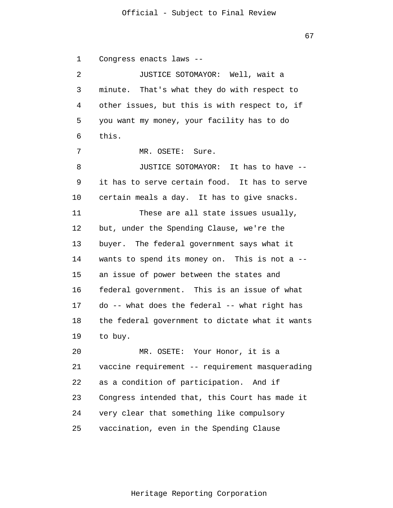67

1 2 3 4 5 6 7 8 9 10 11 12 13 14 15 16 17 18 19 20 21 22 23 24 25 Congress enacts laws -- JUSTICE SOTOMAYOR: Well, wait a minute. That's what they do with respect to other issues, but this is with respect to, if you want my money, your facility has to do this. MR. OSETE: Sure. JUSTICE SOTOMAYOR: It has to have - it has to serve certain food. It has to serve certain meals a day. It has to give snacks. These are all state issues usually, but, under the Spending Clause, we're the buyer. The federal government says what it wants to spend its money on. This is not a - an issue of power between the states and federal government. This is an issue of what do -- what does the federal -- what right has the federal government to dictate what it wants to buy. MR. OSETE: Your Honor, it is a vaccine requirement -- requirement masquerading as a condition of participation. And if Congress intended that, this Court has made it very clear that something like compulsory vaccination, even in the Spending Clause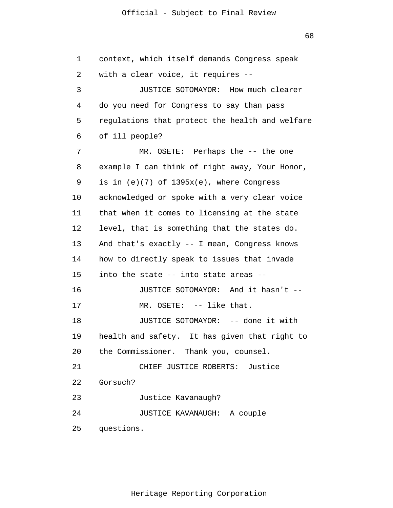68

1 2 3 4 5 6 7 8 9 10 11 12 13 14 15 16 17 18 19 20 21 22 23 24 25 context, which itself demands Congress speak with a clear voice, it requires -- JUSTICE SOTOMAYOR: How much clearer do you need for Congress to say than pass regulations that protect the health and welfare of ill people? MR. OSETE: Perhaps the -- the one example I can think of right away, Your Honor, is in  $(e)(7)$  of  $1395x(e)$ , where Congress acknowledged or spoke with a very clear voice that when it comes to licensing at the state level, that is something that the states do. And that's exactly -- I mean, Congress knows how to directly speak to issues that invade into the state -- into state areas -- JUSTICE SOTOMAYOR: And it hasn't -- MR. OSETE: -- like that. JUSTICE SOTOMAYOR: -- done it with health and safety. It has given that right to the Commissioner. Thank you, counsel. CHIEF JUSTICE ROBERTS: Justice Gorsuch? Justice Kavanaugh? JUSTICE KAVANAUGH: A couple questions.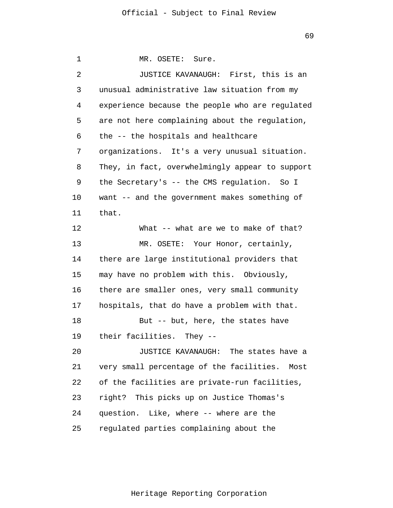1 2 3 4 5 6 7 8 9 10 11 12 13 14 15 16 17 18 19 20 21 22 23 24 25 MR. OSETE: Sure. JUSTICE KAVANAUGH: First, this is an unusual administrative law situation from my experience because the people who are regulated are not here complaining about the regulation, the -- the hospitals and healthcare organizations. It's a very unusual situation. They, in fact, overwhelmingly appear to support the Secretary's -- the CMS regulation. So I want -- and the government makes something of that. What -- what are we to make of that? MR. OSETE: Your Honor, certainly, there are large institutional providers that may have no problem with this. Obviously, there are smaller ones, very small community hospitals, that do have a problem with that. But -- but, here, the states have their facilities. They -- JUSTICE KAVANAUGH: The states have a very small percentage of the facilities. Most of the facilities are private-run facilities, right? This picks up on Justice Thomas's question. Like, where -- where are the regulated parties complaining about the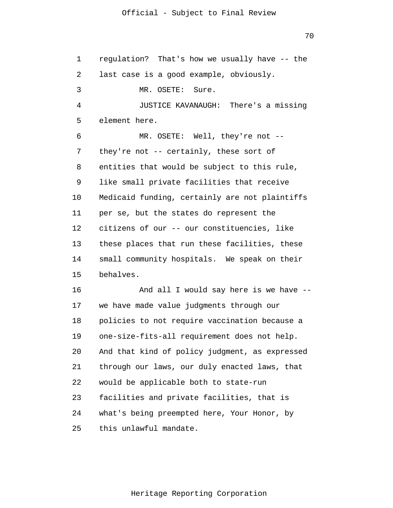1 2 3 4 5 6 7 8 9 10 11 12 13 14 15 16 17 18 19 20 21 22 23 24 25 regulation? That's how we usually have -- the last case is a good example, obviously. MR. OSETE: Sure. JUSTICE KAVANAUGH: There's a missing element here. MR. OSETE: Well, they're not - they're not -- certainly, these sort of entities that would be subject to this rule, like small private facilities that receive Medicaid funding, certainly are not plaintiffs per se, but the states do represent the citizens of our -- our constituencies, like these places that run these facilities, these small community hospitals. We speak on their behalves. And all I would say here is we have - we have made value judgments through our policies to not require vaccination because a one-size-fits-all requirement does not help. And that kind of policy judgment, as expressed through our laws, our duly enacted laws, that would be applicable both to state-run facilities and private facilities, that is what's being preempted here, Your Honor, by this unlawful mandate.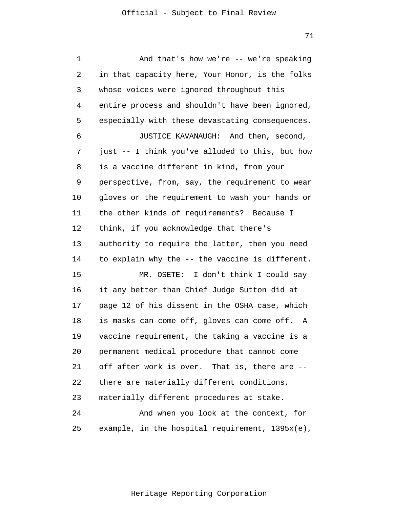| 1  | And that's how we're $-$ we're speaking            |
|----|----------------------------------------------------|
| 2  | in that capacity here, Your Honor, is the folks    |
| 3  | whose voices were ignored throughout this          |
| 4  | entire process and shouldn't have been ignored,    |
| 5  | especially with these devastating consequences.    |
| 6  | JUSTICE KAVANAUGH: And then, second,               |
| 7  | just -- I think you've alluded to this, but how    |
| 8  | is a vaccine different in kind, from your          |
| 9  | perspective, from, say, the requirement to wear    |
| 10 | gloves or the requirement to wash your hands or    |
| 11 | the other kinds of requirements? Because I         |
| 12 | think, if you acknowledge that there's             |
| 13 | authority to require the latter, then you need     |
| 14 | to explain why the -- the vaccine is different.    |
| 15 | MR. OSETE: I don't think I could say               |
| 16 | it any better than Chief Judge Sutton did at       |
| 17 | page 12 of his dissent in the OSHA case, which     |
| 18 | is masks can come off, gloves can come off.<br>Α   |
| 19 | vaccine requirement, the taking a vaccine is a     |
| 20 | permanent medical procedure that cannot come       |
| 21 | off after work is over. That is, there are --      |
| 22 | there are materially different conditions,         |
| 23 | materially different procedures at stake.          |
| 24 | And when you look at the context, for              |
| 25 | example, in the hospital requirement, $1395x(e)$ , |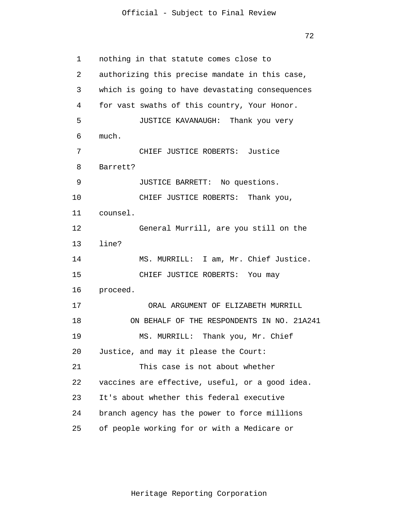72

1 2 3 4 5 6 7 8 9 10 11 12 13 14 15 16 17 18 19 20 21 22 23 24 25 nothing in that statute comes close to authorizing this precise mandate in this case, which is going to have devastating consequences for vast swaths of this country, Your Honor. JUSTICE KAVANAUGH: Thank you very much. CHIEF JUSTICE ROBERTS: Justice Barrett? JUSTICE BARRETT: No questions. CHIEF JUSTICE ROBERTS: Thank you, counsel. General Murrill, are you still on the line? MS. MURRILL: I am, Mr. Chief Justice. CHIEF JUSTICE ROBERTS: You may proceed. ORAL ARGUMENT OF ELIZABETH MURRILL ON BEHALF OF THE RESPONDENTS IN NO. 21A241 MS. MURRILL: Thank you, Mr. Chief Justice, and may it please the Court: This case is not about whether vaccines are effective, useful, or a good idea. It's about whether this federal executive branch agency has the power to force millions of people working for or with a Medicare or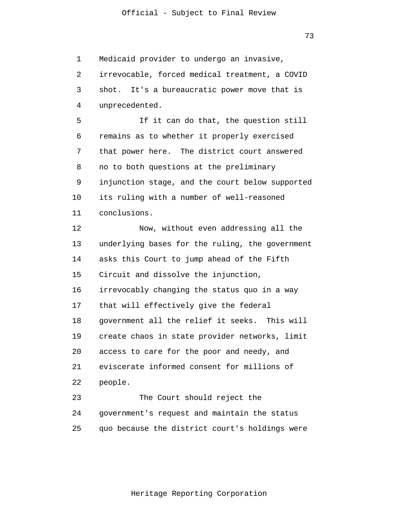73

1 2 3 4 5 6 7 8 9 10 11 12 13 14 15 16 17 18 19 20 21 22 23 24 25 Medicaid provider to undergo an invasive, irrevocable, forced medical treatment, a COVID shot. It's a bureaucratic power move that is unprecedented. If it can do that, the question still remains as to whether it properly exercised that power here. The district court answered no to both questions at the preliminary injunction stage, and the court below supported its ruling with a number of well-reasoned conclusions. Now, without even addressing all the underlying bases for the ruling, the government asks this Court to jump ahead of the Fifth Circuit and dissolve the injunction, irrevocably changing the status quo in a way that will effectively give the federal government all the relief it seeks. This will create chaos in state provider networks, limit access to care for the poor and needy, and eviscerate informed consent for millions of people. The Court should reject the government's request and maintain the status quo because the district court's holdings were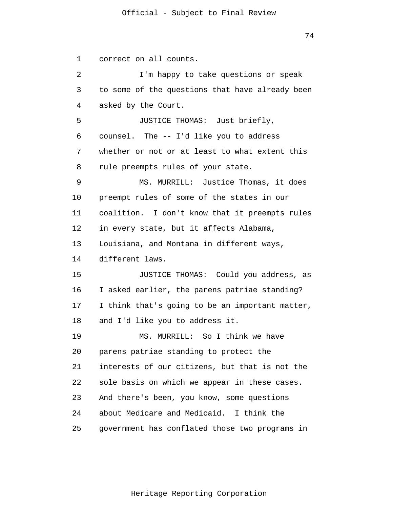1 2 3 4 5 6 7 8 9 10 11 12 13 14 15 16 17 18 19 20 21 22 23 24 25 correct on all counts. I'm happy to take questions or speak to some of the questions that have already been asked by the Court. JUSTICE THOMAS: Just briefly, counsel. The -- I'd like you to address whether or not or at least to what extent this rule preempts rules of your state. MS. MURRILL: Justice Thomas, it does preempt rules of some of the states in our coalition. I don't know that it preempts rules in every state, but it affects Alabama, Louisiana, and Montana in different ways, different laws. JUSTICE THOMAS: Could you address, as I asked earlier, the parens patriae standing? I think that's going to be an important matter, and I'd like you to address it. MS. MURRILL: So I think we have parens patriae standing to protect the interests of our citizens, but that is not the sole basis on which we appear in these cases. And there's been, you know, some questions about Medicare and Medicaid. I think the government has conflated those two programs in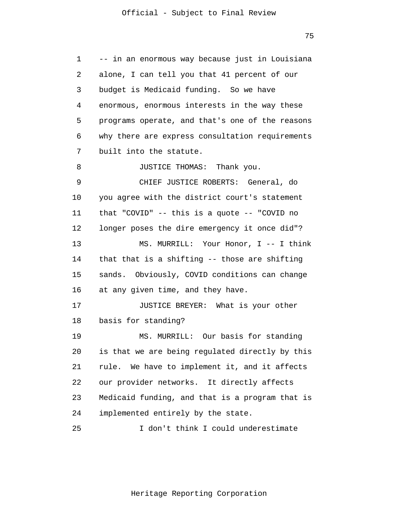1 2 3 4 5 6 7 8 9 10 11 12 13 14 15 16 17 18 19 20 21 22 23 24 25 -- in an enormous way because just in Louisiana alone, I can tell you that 41 percent of our budget is Medicaid funding. So we have enormous, enormous interests in the way these programs operate, and that's one of the reasons why there are express consultation requirements built into the statute. JUSTICE THOMAS: Thank you. CHIEF JUSTICE ROBERTS: General, do you agree with the district court's statement that "COVID" -- this is a quote -- "COVID no longer poses the dire emergency it once did"? MS. MURRILL: Your Honor, I -- I think that that is a shifting -- those are shifting sands. Obviously, COVID conditions can change at any given time, and they have. JUSTICE BREYER: What is your other basis for standing? MS. MURRILL: Our basis for standing is that we are being regulated directly by this rule. We have to implement it, and it affects our provider networks. It directly affects Medicaid funding, and that is a program that is implemented entirely by the state. I don't think I could underestimate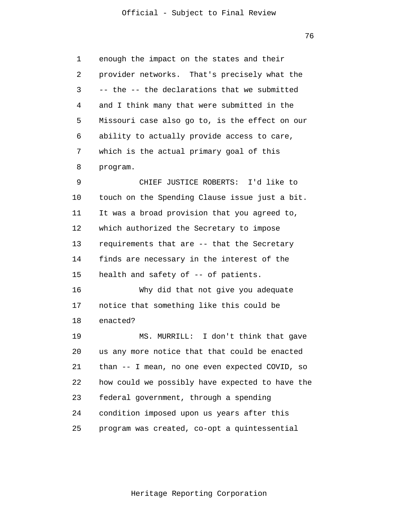76

1 2 3 4 5 6 7 8 9 10 11 12 13 14 15 16 17 18 19 20 21 22 23 24 enough the impact on the states and their provider networks. That's precisely what the -- the -- the declarations that we submitted and I think many that were submitted in the Missouri case also go to, is the effect on our ability to actually provide access to care, which is the actual primary goal of this program. CHIEF JUSTICE ROBERTS: I'd like to touch on the Spending Clause issue just a bit. It was a broad provision that you agreed to, which authorized the Secretary to impose requirements that are -- that the Secretary finds are necessary in the interest of the health and safety of -- of patients. Why did that not give you adequate notice that something like this could be enacted? MS. MURRILL: I don't think that gave us any more notice that that could be enacted than -- I mean, no one even expected COVID, so how could we possibly have expected to have the federal government, through a spending condition imposed upon us years after this

25 program was created, co-opt a quintessential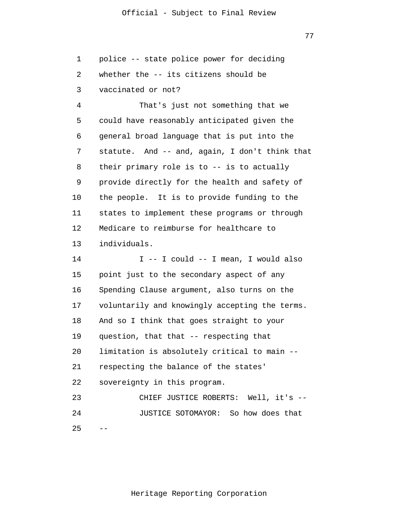77

1 2 3 police -- state police power for deciding whether the -- its citizens should be vaccinated or not?

4 5 6 7 8 9 10 11 12 13 That's just not something that we could have reasonably anticipated given the general broad language that is put into the statute. And -- and, again, I don't think that their primary role is to -- is to actually provide directly for the health and safety of the people. It is to provide funding to the states to implement these programs or through Medicare to reimburse for healthcare to individuals.

14 15 16 17 18 19 20 21 22 23 24  $2.5$ I -- I could -- I mean, I would also point just to the secondary aspect of any Spending Clause argument, also turns on the voluntarily and knowingly accepting the terms. And so I think that goes straight to your question, that that -- respecting that limitation is absolutely critical to main - respecting the balance of the states' sovereignty in this program. CHIEF JUSTICE ROBERTS: Well, it's -- JUSTICE SOTOMAYOR: So how does that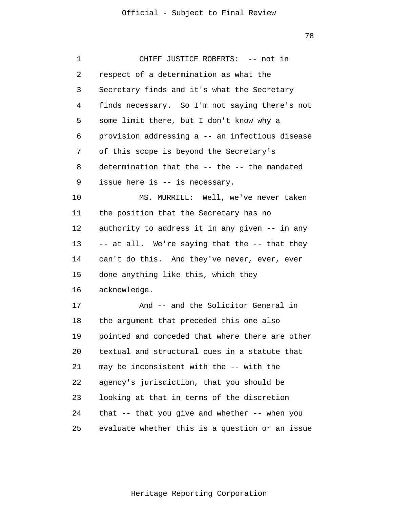78

| 1  | CHIEF JUSTICE ROBERTS: -- not in                    |
|----|-----------------------------------------------------|
| 2  | respect of a determination as what the              |
| 3  | Secretary finds and it's what the Secretary         |
| 4  | finds necessary. So I'm not saying there's not      |
| 5  | some limit there, but I don't know why a            |
| 6  | provision addressing a -- an infectious disease     |
| 7  | of this scope is beyond the Secretary's             |
| 8  | determination that the -- the -- the mandated       |
| 9  | issue here is -- is necessary.                      |
| 10 | MS. MURRILL: Well, we've never taken                |
| 11 | the position that the Secretary has no              |
| 12 | authority to address it in any given -- in any      |
| 13 | -- at all. We're saying that the -- that they       |
| 14 | can't do this. And they've never, ever, ever        |
| 15 | done anything like this, which they                 |
| 16 | acknowledge.                                        |
| 17 | And -- and the Solicitor General in                 |
| 18 | the argument that preceded this one also            |
| 19 | pointed and conceded that where there are other     |
| 20 | textual and structural cues in a statute that       |
| 21 | may be inconsistent with the -- with the            |
| 22 | agency's jurisdiction, that you should be           |
| 23 | looking at that in terms of the discretion          |
| 24 | that $-$ - that you give and whether $-$ - when you |
| 25 | evaluate whether this is a question or an issue     |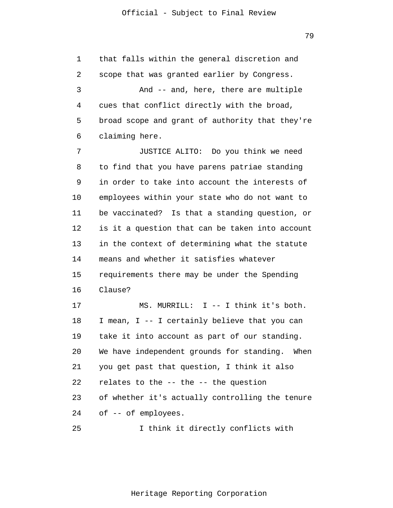1 2 3 4 5 6 7 8 9 10 11 12 13 14 15 16 17 18 19 20 21 22 23 24 that falls within the general discretion and scope that was granted earlier by Congress. And -- and, here, there are multiple cues that conflict directly with the broad, broad scope and grant of authority that they're claiming here. JUSTICE ALITO: Do you think we need to find that you have parens patriae standing in order to take into account the interests of employees within your state who do not want to be vaccinated? Is that a standing question, or is it a question that can be taken into account in the context of determining what the statute means and whether it satisfies whatever requirements there may be under the Spending Clause? MS. MURRILL: I -- I think it's both. I mean, I -- I certainly believe that you can take it into account as part of our standing. We have independent grounds for standing. When you get past that question, I think it also relates to the -- the -- the question of whether it's actually controlling the tenure of -- of employees.

25 I think it directly conflicts with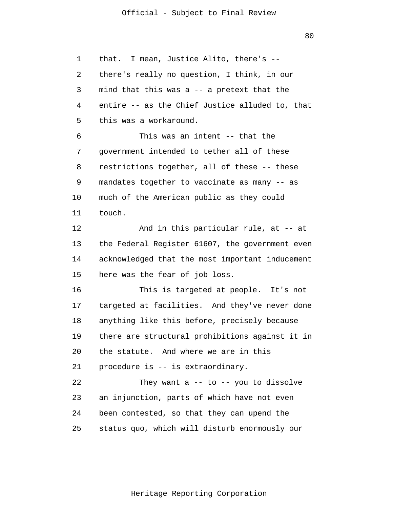80

1 2 3 4 5 6 7 8 9 10 11 12 13 14 15 16 17 18 19 20 21 22 23 24 25 that. I mean, Justice Alito, there's - there's really no question, I think, in our mind that this was a -- a pretext that the entire -- as the Chief Justice alluded to, that this was a workaround. This was an intent -- that the government intended to tether all of these restrictions together, all of these -- these mandates together to vaccinate as many -- as much of the American public as they could touch. And in this particular rule, at -- at the Federal Register 61607, the government even acknowledged that the most important inducement here was the fear of job loss. This is targeted at people. It's not targeted at facilities. And they've never done anything like this before, precisely because there are structural prohibitions against it in the statute. And where we are in this procedure is -- is extraordinary. They want  $a$  -- to -- you to dissolve an injunction, parts of which have not even been contested, so that they can upend the status quo, which will disturb enormously our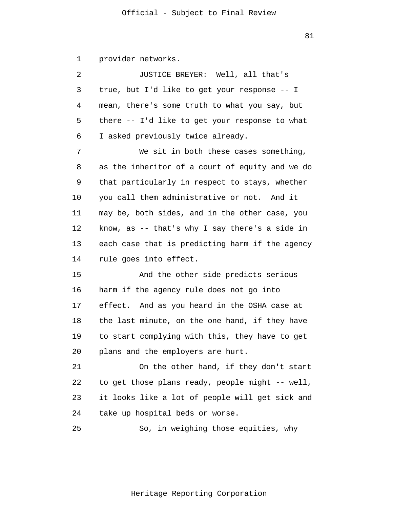1 provider networks.

2 3 4 5 6 7 8 9 10 11 12 13 14 15 16 17 18 19 20 21 22 23 24 JUSTICE BREYER: Well, all that's true, but I'd like to get your response -- I mean, there's some truth to what you say, but there -- I'd like to get your response to what I asked previously twice already. We sit in both these cases something, as the inheritor of a court of equity and we do that particularly in respect to stays, whether you call them administrative or not. And it may be, both sides, and in the other case, you know, as -- that's why I say there's a side in each case that is predicting harm if the agency rule goes into effect. And the other side predicts serious harm if the agency rule does not go into effect. And as you heard in the OSHA case at the last minute, on the one hand, if they have to start complying with this, they have to get plans and the employers are hurt. On the other hand, if they don't start to get those plans ready, people might -- well, it looks like a lot of people will get sick and take up hospital beds or worse.

25 So, in weighing those equities, why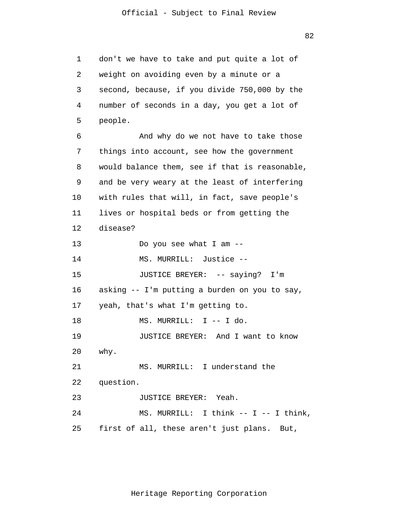1 2 3 4 5 6 7 8 9 10 11 12 13 14 15 16 17 18 19 20 21 22 23 24 25 don't we have to take and put quite a lot of weight on avoiding even by a minute or a second, because, if you divide 750,000 by the number of seconds in a day, you get a lot of people. And why do we not have to take those things into account, see how the government would balance them, see if that is reasonable, and be very weary at the least of interfering with rules that will, in fact, save people's lives or hospital beds or from getting the disease? Do you see what I am -- MS. MURRILL: Justice -- JUSTICE BREYER: -- saying? I'm asking -- I'm putting a burden on you to say, yeah, that's what I'm getting to. MS. MURRILL: I -- I do. JUSTICE BREYER: And I want to know why. MS. MURRILL: I understand the question. JUSTICE BREYER: Yeah. MS. MURRILL: I think -- I -- I think, first of all, these aren't just plans. But,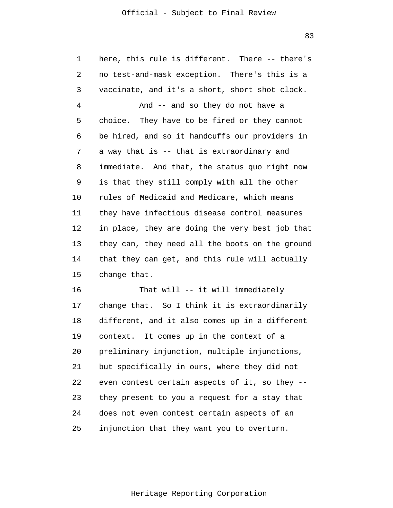83

| 1  | here, this rule is different. There -- there's  |
|----|-------------------------------------------------|
| 2  | no test-and-mask exception. There's this is a   |
| 3  | vaccinate, and it's a short, short shot clock.  |
| 4  | And -- and so they do not have a                |
| 5  | choice. They have to be fired or they cannot    |
| 6  | be hired, and so it handcuffs our providers in  |
| 7  | a way that is -- that is extraordinary and      |
| 8  | immediate. And that, the status quo right now   |
| 9  | is that they still comply with all the other    |
| 10 | rules of Medicaid and Medicare, which means     |
| 11 | they have infectious disease control measures   |
| 12 | in place, they are doing the very best job that |
| 13 | they can, they need all the boots on the ground |
| 14 | that they can get, and this rule will actually  |
| 15 | change that.                                    |
| 16 | That will -- it will immediately                |
| 17 | change that. So I think it is extraordinarily   |
| 18 | different, and it also comes up in a different  |
| 19 | context. It comes up in the context of a        |
| 20 | preliminary injunction, multiple injunctions,   |
| 21 | but specifically in ours, where they did not    |
| 22 | even contest certain aspects of it, so they --  |
| 23 | they present to you a request for a stay that   |
| 24 | does not even contest certain aspects of an     |
| 25 | injunction that they want you to overturn.      |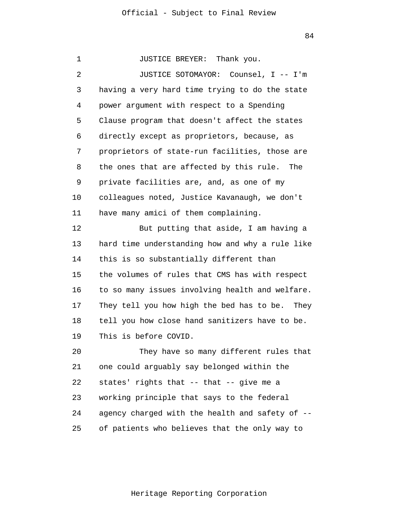1 2 3 4 5 6 7 8 9 10 11 12 13 14 15 16 17 18 19 20 21 22 23 24 25 JUSTICE BREYER: Thank you. JUSTICE SOTOMAYOR: Counsel, I -- I'm having a very hard time trying to do the state power argument with respect to a Spending Clause program that doesn't affect the states directly except as proprietors, because, as proprietors of state-run facilities, those are the ones that are affected by this rule. The private facilities are, and, as one of my colleagues noted, Justice Kavanaugh, we don't have many amici of them complaining. But putting that aside, I am having a hard time understanding how and why a rule like this is so substantially different than the volumes of rules that CMS has with respect to so many issues involving health and welfare. They tell you how high the bed has to be. They tell you how close hand sanitizers have to be. This is before COVID. They have so many different rules that one could arguably say belonged within the states' rights that -- that -- give me a working principle that says to the federal agency charged with the health and safety of - of patients who believes that the only way to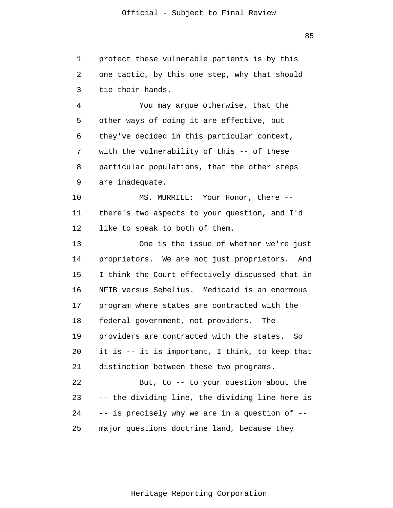1 2 3 protect these vulnerable patients is by this one tactic, by this one step, why that should tie their hands.

4 5 6 7 8 9 You may argue otherwise, that the other ways of doing it are effective, but they've decided in this particular context, with the vulnerability of this -- of these particular populations, that the other steps are inadequate.

10 11 12 MS. MURRILL: Your Honor, there - there's two aspects to your question, and I'd like to speak to both of them.

13 14 15 16 17 18 19 20 21 22 23 24 One is the issue of whether we're just proprietors. We are not just proprietors. And I think the Court effectively discussed that in NFIB versus Sebelius. Medicaid is an enormous program where states are contracted with the federal government, not providers. The providers are contracted with the states. So it is -- it is important, I think, to keep that distinction between these two programs. But, to -- to your question about the -- the dividing line, the dividing line here is -- is precisely why we are in a question of --

25 major questions doctrine land, because they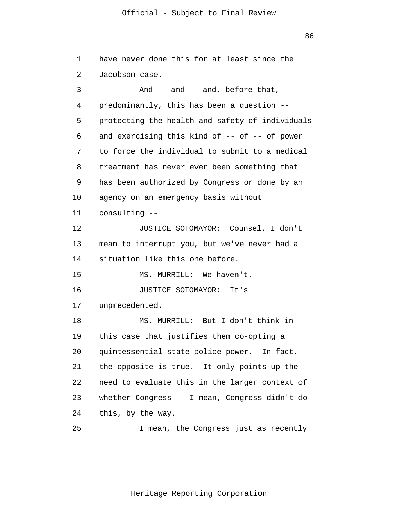| 1  | have never done this for at least since the     |
|----|-------------------------------------------------|
| 2  | Jacobson case.                                  |
| 3  | And -- and -- and, before that,                 |
| 4  | predominantly, this has been a question --      |
| 5  | protecting the health and safety of individuals |
| 6  | and exercising this kind of -- of -- of power   |
| 7  | to force the individual to submit to a medical  |
| 8  | treatment has never ever been something that    |
| 9  | has been authorized by Congress or done by an   |
| 10 | agency on an emergency basis without            |
| 11 | consulting --                                   |
| 12 | JUSTICE SOTOMAYOR: Counsel, I don't             |
| 13 | mean to interrupt you, but we've never had a    |
| 14 | situation like this one before.                 |
| 15 | MS. MURRILL: We haven't.                        |
| 16 | JUSTICE SOTOMAYOR: It's                         |
| 17 | unprecedented.                                  |
| 18 | MS. MURRILL: But I don't think in               |
| 19 | this case that justifies them co-opting a       |
| 20 | quintessential state police power. In fact,     |
| 21 | the opposite is true. It only points up the     |
| 22 | need to evaluate this in the larger context of  |
| 23 | whether Congress -- I mean, Congress didn't do  |
| 24 | this, by the way.                               |
| 25 | I mean, the Congress just as recently           |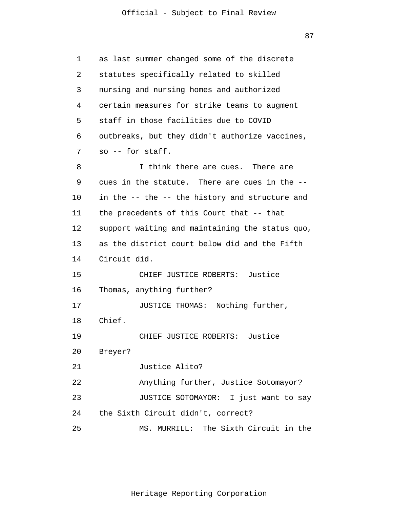| 1  | as last summer changed some of the discrete     |
|----|-------------------------------------------------|
| 2  | statutes specifically related to skilled        |
| 3  | nursing and nursing homes and authorized        |
| 4  | certain measures for strike teams to augment    |
| 5  | staff in those facilities due to COVID          |
| 6  | outbreaks, but they didn't authorize vaccines,  |
| 7  | so -- for staff.                                |
| 8  | I think there are cues. There are               |
| 9  | cues in the statute. There are cues in the --   |
| 10 | in the -- the -- the history and structure and  |
| 11 | the precedents of this Court that -- that       |
| 12 | support waiting and maintaining the status quo, |
| 13 | as the district court below did and the Fifth   |
| 14 | Circuit did.                                    |
| 15 | CHIEF JUSTICE ROBERTS: Justice                  |
| 16 | Thomas, anything further?                       |
| 17 | JUSTICE THOMAS: Nothing further,                |
| 18 | Chief.                                          |
| 19 | CHIEF JUSTICE ROBERTS:<br>Justice               |
| 20 | Breyer?                                         |
| 21 | Justice Alito?                                  |
| 22 | Anything further, Justice Sotomayor?            |
| 23 | JUSTICE SOTOMAYOR: I just want to say           |
| 24 | the Sixth Circuit didn't, correct?              |
| 25 | MS. MURRILL: The Sixth Circuit in the           |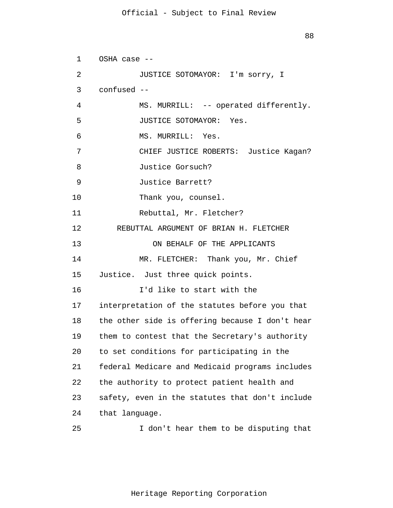```
1 
 2 
 3 
 4 
 5 
 6 
 7 
 8 
 9 
10 
11 
12 
13 
14 
15 
16 
17 
18 
19 
20 
21 
22 
23 
24 
25 
      OSHA case --
               JUSTICE SOTOMAYOR: I'm sorry, I
       confused --
               MS. MURRILL: -- operated differently.
                JUSTICE SOTOMAYOR: Yes.
                MS. MURRILL: Yes.
                CHIEF JUSTICE ROBERTS: Justice Kagan?
                Justice Gorsuch?
                Justice Barrett? 
               Thank you, counsel. 
               Rebuttal, Mr. Fletcher? 
          REBUTTAL ARGUMENT OF BRIAN H. FLETCHER
                    ON BEHALF OF THE APPLICANTS 
               MR. FLETCHER: Thank you, Mr. Chief 
      Justice. Just three quick points. 
                I'd like to start with the 
      interpretation of the statutes before you that 
      the other side is offering because I don't hear 
      them to contest that the Secretary's authority 
      to set conditions for participating in the 
      federal Medicare and Medicaid programs includes 
      the authority to protect patient health and 
      safety, even in the statutes that don't include 
      that language. 
                I don't hear them to be disputing that
```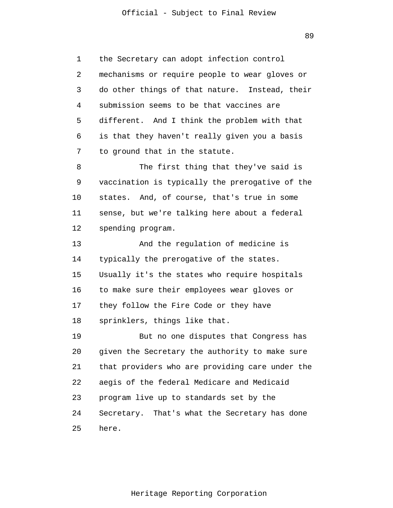1 2 3 4 5 6 7 8 9 10 11 12 13 14 15 the Secretary can adopt infection control mechanisms or require people to wear gloves or do other things of that nature. Instead, their submission seems to be that vaccines are different. And I think the problem with that is that they haven't really given you a basis to ground that in the statute. The first thing that they've said is vaccination is typically the prerogative of the states. And, of course, that's true in some sense, but we're talking here about a federal spending program. And the regulation of medicine is typically the prerogative of the states. Usually it's the states who require hospitals

16 17 18 to make sure their employees wear gloves or they follow the Fire Code or they have sprinklers, things like that.

19 20 21 22 23 24 25 But no one disputes that Congress has given the Secretary the authority to make sure that providers who are providing care under the aegis of the federal Medicare and Medicaid program live up to standards set by the Secretary. That's what the Secretary has done here.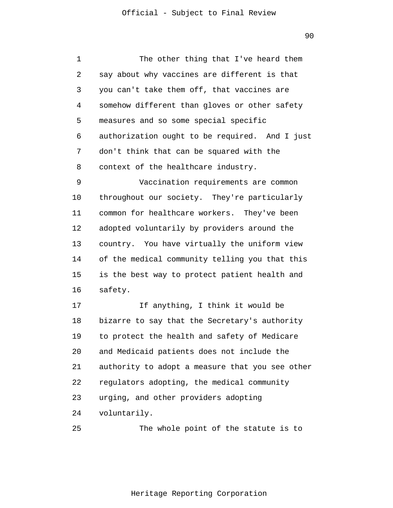1 2 3 4 5 6 7 8 9 10 11 12 13 14 15 16 17 18 19 20 21 22 23 24 The other thing that I've heard them say about why vaccines are different is that you can't take them off, that vaccines are somehow different than gloves or other safety measures and so some special specific authorization ought to be required. And I just don't think that can be squared with the context of the healthcare industry. Vaccination requirements are common throughout our society. They're particularly common for healthcare workers. They've been adopted voluntarily by providers around the country. You have virtually the uniform view of the medical community telling you that this is the best way to protect patient health and safety. If anything, I think it would be bizarre to say that the Secretary's authority to protect the health and safety of Medicare and Medicaid patients does not include the authority to adopt a measure that you see other regulators adopting, the medical community urging, and other providers adopting voluntarily.

25 The whole point of the statute is to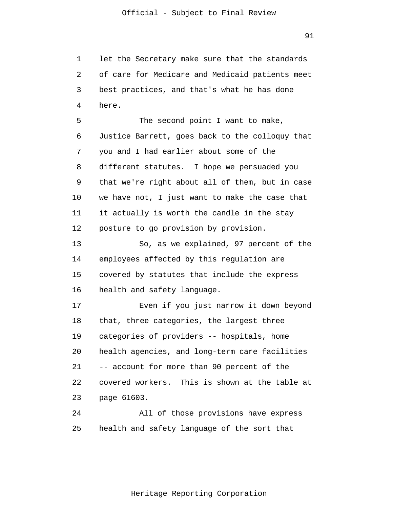1 2 3 4 5 let the Secretary make sure that the standards of care for Medicare and Medicaid patients meet best practices, and that's what he has done here. The second point I want to make,

6 7 8 9 10 11 12 Justice Barrett, goes back to the colloquy that you and I had earlier about some of the different statutes. I hope we persuaded you that we're right about all of them, but in case we have not, I just want to make the case that it actually is worth the candle in the stay posture to go provision by provision.

13 14 15 16 So, as we explained, 97 percent of the employees affected by this regulation are covered by statutes that include the express health and safety language.

17 18 19 20 21 22 23 Even if you just narrow it down beyond that, three categories, the largest three categories of providers -- hospitals, home health agencies, and long-term care facilities -- account for more than 90 percent of the covered workers. This is shown at the table at page 61603.

24 25 All of those provisions have express health and safety language of the sort that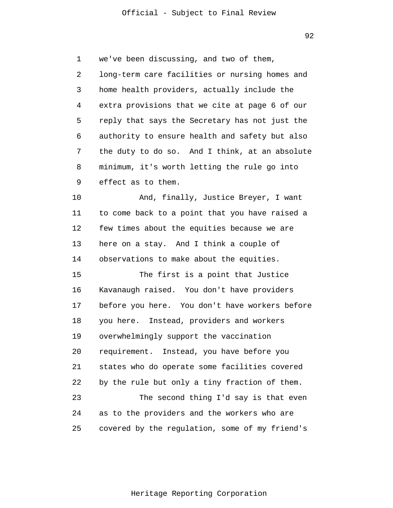1 2 3 4 5 6 7 8 9 10 11 12 13 14 15 16 17 we've been discussing, and two of them, long-term care facilities or nursing homes and home health providers, actually include the extra provisions that we cite at page 6 of our reply that says the Secretary has not just the authority to ensure health and safety but also the duty to do so. And I think, at an absolute minimum, it's worth letting the rule go into effect as to them. And, finally, Justice Breyer, I want to come back to a point that you have raised a few times about the equities because we are here on a stay. And I think a couple of observations to make about the equities. The first is a point that Justice Kavanaugh raised. You don't have providers before you here. You don't have workers before

18 19 20 21 22 23 24 you here. Instead, providers and workers overwhelmingly support the vaccination requirement. Instead, you have before you states who do operate some facilities covered by the rule but only a tiny fraction of them. The second thing I'd say is that even as to the providers and the workers who are

25 covered by the regulation, some of my friend's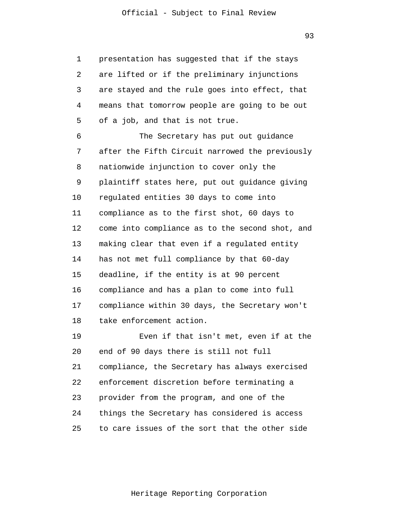1 2 3 4 5 presentation has suggested that if the stays are lifted or if the preliminary injunctions are stayed and the rule goes into effect, that means that tomorrow people are going to be out of a job, and that is not true.

6 7 8 9 10 11 12 13 14 15 16 17 18 The Secretary has put out guidance after the Fifth Circuit narrowed the previously nationwide injunction to cover only the plaintiff states here, put out guidance giving regulated entities 30 days to come into compliance as to the first shot, 60 days to come into compliance as to the second shot, and making clear that even if a regulated entity has not met full compliance by that 60-day deadline, if the entity is at 90 percent compliance and has a plan to come into full compliance within 30 days, the Secretary won't take enforcement action.

19 20 21 22 23 24 25 Even if that isn't met, even if at the end of 90 days there is still not full compliance, the Secretary has always exercised enforcement discretion before terminating a provider from the program, and one of the things the Secretary has considered is access to care issues of the sort that the other side